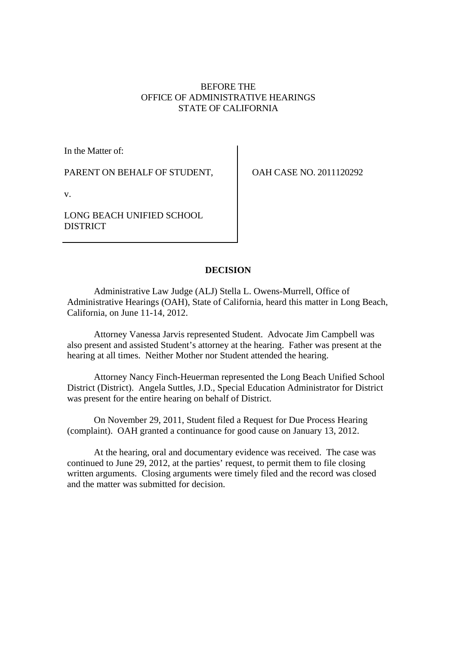# BEFORE THE OFFICE OF ADMINISTRATIVE HEARINGS STATE OF CALIFORNIA

In the Matter of:

PARENT ON BEHALF OF STUDENT,

OAH CASE NO. 2011120292

v.

LONG BEACH UNIFIED SCHOOL **DISTRICT** 

# **DECISION**

Administrative Law Judge (ALJ) Stella L. Owens-Murrell, Office of Administrative Hearings (OAH), State of California, heard this matter in Long Beach, California, on June 11-14, 2012.

Attorney Vanessa Jarvis represented Student. Advocate Jim Campbell was also present and assisted Student's attorney at the hearing. Father was present at the hearing at all times. Neither Mother nor Student attended the hearing.

Attorney Nancy Finch-Heuerman represented the Long Beach Unified School District (District). Angela Suttles, J.D., Special Education Administrator for District was present for the entire hearing on behalf of District.

On November 29, 2011, Student filed a Request for Due Process Hearing (complaint). OAH granted a continuance for good cause on January 13, 2012.

At the hearing, oral and documentary evidence was received. The case was continued to June 29, 2012, at the parties' request, to permit them to file closing written arguments. Closing arguments were timely filed and the record was closed and the matter was submitted for decision.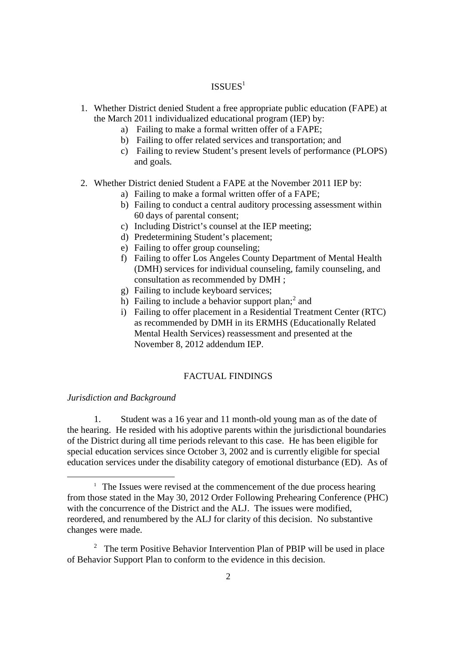# ISSUES<sup>1</sup>

- 1. Whether District denied Student a free appropriate public education (FAPE) at the March 2011 individualized educational program (IEP) by:
	- a) Failing to make a formal written offer of a FAPE;
	- b) Failing to offer related services and transportation; and
	- c) Failing to review Student's present levels of performance (PLOPS) and goals.
- 2. Whether District denied Student a FAPE at the November 2011 IEP by:
	- a) Failing to make a formal written offer of a FAPE;
	- b) Failing to conduct a central auditory processing assessment within 60 days of parental consent;
	- c) Including District's counsel at the IEP meeting;
	- d) Predetermining Student's placement;
	- e) Failing to offer group counseling;
	- f) Failing to offer Los Angeles County Department of Mental Health (DMH) services for individual counseling, family counseling, and consultation as recommended by DMH ;
	- g) Failing to include keyboard services;
	- h) Failing to include a behavior support plan;<sup>2</sup> and
	- i) Failing to offer placement in a Residential Treatment Center (RTC) as recommended by DMH in its ERMHS (Educationally Related Mental Health Services) reassessment and presented at the November 8, 2012 addendum IEP.

# FACTUAL FINDINGS

## *Jurisdiction and Background*

1. Student was a 16 year and 11 month-old young man as of the date of the hearing. He resided with his adoptive parents within the jurisdictional boundaries of the District during all time periods relevant to this case. He has been eligible for special education services since October 3, 2002 and is currently eligible for special education services under the disability category of emotional disturbance (ED). As of

 $1$  The Issues were revised at the commencement of the due process hearing from those stated in the May 30, 2012 Order Following Prehearing Conference (PHC) with the concurrence of the District and the ALJ. The issues were modified, reordered, and renumbered by the ALJ for clarity of this decision. No substantive changes were made.

<sup>&</sup>lt;sup>2</sup> The term Positive Behavior Intervention Plan of PBIP will be used in place of Behavior Support Plan to conform to the evidence in this decision.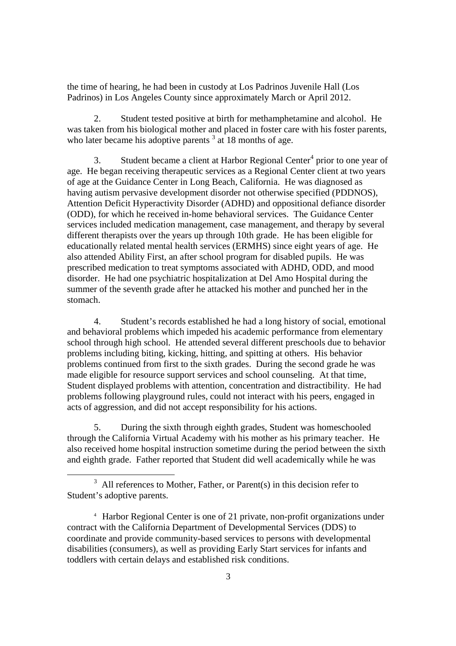the time of hearing, he had been in custody at Los Padrinos Juvenile Hall (Los Padrinos) in Los Angeles County since approximately March or April 2012.

2. Student tested positive at birth for methamphetamine and alcohol. He was taken from his biological mother and placed in foster care with his foster parents, who later became his adoptive parents  $3$  at 18 months of age.

3. Student became a client at Harbor Regional Center<sup>4</sup> prior to one year of age. He began receiving therapeutic services as a Regional Center client at two years of age at the Guidance Center in Long Beach, California. He was diagnosed as having autism pervasive development disorder not otherwise specified (PDDNOS), Attention Deficit Hyperactivity Disorder (ADHD) and oppositional defiance disorder (ODD), for which he received in-home behavioral services. The Guidance Center services included medication management, case management, and therapy by several different therapists over the years up through 10th grade. He has been eligible for educationally related mental health services (ERMHS) since eight years of age. He also attended Ability First, an after school program for disabled pupils. He was prescribed medication to treat symptoms associated with ADHD, ODD, and mood disorder. He had one psychiatric hospitalization at Del Amo Hospital during the summer of the seventh grade after he attacked his mother and punched her in the stomach.

4. Student's records established he had a long history of social, emotional and behavioral problems which impeded his academic performance from elementary school through high school. He attended several different preschools due to behavior problems including biting, kicking, hitting, and spitting at others. His behavior problems continued from first to the sixth grades. During the second grade he was made eligible for resource support services and school counseling. At that time, Student displayed problems with attention, concentration and distractibility. He had problems following playground rules, could not interact with his peers, engaged in acts of aggression, and did not accept responsibility for his actions.

5. During the sixth through eighth grades, Student was homeschooled through the California Virtual Academy with his mother as his primary teacher. He also received home hospital instruction sometime during the period between the sixth and eighth grade. Father reported that Student did well academically while he was

 $3$  All references to Mother, Father, or Parent(s) in this decision refer to Student's adoptive parents.

<sup>4</sup> Harbor Regional Center is one of 21 private, non-profit organizations under contract with the California Department of Developmental Services (DDS) to coordinate and provide community-based services to persons with developmental disabilities (consumers), as well as providing Early Start services for infants and toddlers with certain delays and established risk conditions.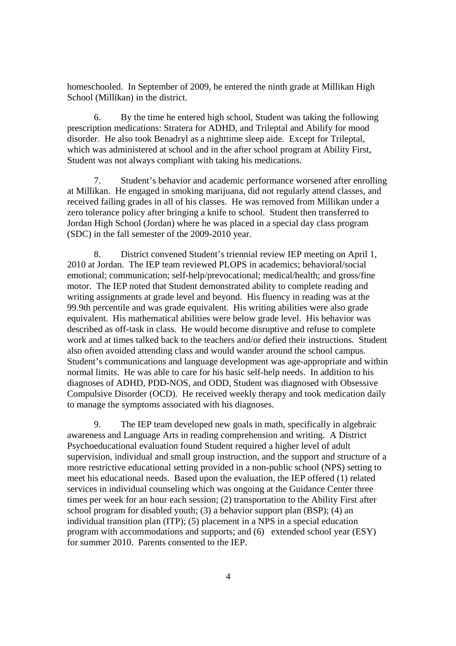homeschooled. In September of 2009, he entered the ninth grade at Millikan High School (Millikan) in the district.

6. By the time he entered high school, Student was taking the following prescription medications: Stratera for ADHD, and Trileptal and Abilify for mood disorder. He also took Benadryl as a nighttime sleep aide. Except for Trileptal, which was administered at school and in the after school program at Ability First, Student was not always compliant with taking his medications.

7. Student's behavior and academic performance worsened after enrolling at Millikan. He engaged in smoking marijuana, did not regularly attend classes, and received failing grades in all of his classes. He was removed from Millikan under a zero tolerance policy after bringing a knife to school. Student then transferred to Jordan High School (Jordan) where he was placed in a special day class program (SDC) in the fall semester of the 2009-2010 year.

8. District convened Student's triennial review IEP meeting on April 1, 2010 at Jordan. The IEP team reviewed PLOPS in academics; behavioral/social emotional; communication; self-help/prevocational; medical/health; and gross/fine motor. The IEP noted that Student demonstrated ability to complete reading and writing assignments at grade level and beyond. His fluency in reading was at the 99.9th percentile and was grade equivalent. His writing abilities were also grade equivalent. His mathematical abilities were below grade level. His behavior was described as off-task in class. He would become disruptive and refuse to complete work and at times talked back to the teachers and/or defied their instructions. Student also often avoided attending class and would wander around the school campus. Student's communications and language development was age-appropriate and within normal limits. He was able to care for his basic self-help needs. In addition to his diagnoses of ADHD, PDD-NOS, and ODD, Student was diagnosed with Obsessive Compulsive Disorder (OCD). He received weekly therapy and took medication daily to manage the symptoms associated with his diagnoses.

9. The IEP team developed new goals in math, specifically in algebraic awareness and Language Arts in reading comprehension and writing. A District Psychoeducational evaluation found Student required a higher level of adult supervision, individual and small group instruction, and the support and structure of a more restrictive educational setting provided in a non-public school (NPS) setting to meet his educational needs. Based upon the evaluation, the IEP offered (1) related services in individual counseling which was ongoing at the Guidance Center three times per week for an hour each session; (2) transportation to the Ability First after school program for disabled youth; (3) a behavior support plan (BSP); (4) an individual transition plan (ITP); (5) placement in a NPS in a special education program with accommodations and supports; and (6) extended school year (ESY) for summer 2010. Parents consented to the IEP.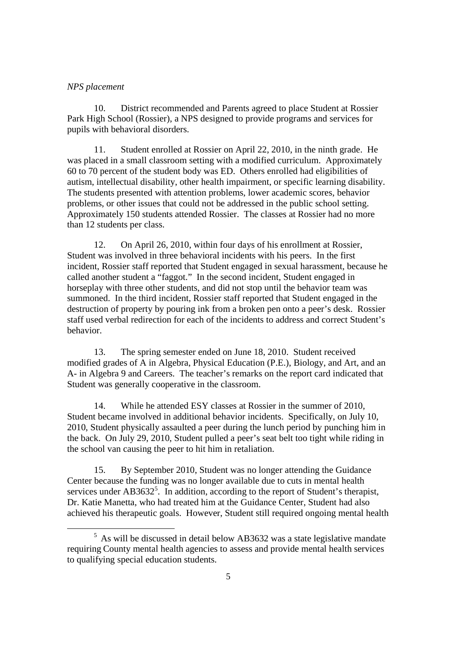## *NPS placement*

10. District recommended and Parents agreed to place Student at Rossier Park High School (Rossier), a NPS designed to provide programs and services for pupils with behavioral disorders.

11. Student enrolled at Rossier on April 22, 2010, in the ninth grade. He was placed in a small classroom setting with a modified curriculum. Approximately 60 to 70 percent of the student body was ED. Others enrolled had eligibilities of autism, intellectual disability, other health impairment, or specific learning disability. The students presented with attention problems, lower academic scores, behavior problems, or other issues that could not be addressed in the public school setting. Approximately 150 students attended Rossier. The classes at Rossier had no more than 12 students per class.

12. On April 26, 2010, within four days of his enrollment at Rossier, Student was involved in three behavioral incidents with his peers. In the first incident, Rossier staff reported that Student engaged in sexual harassment, because he called another student a "faggot." In the second incident, Student engaged in horseplay with three other students, and did not stop until the behavior team was summoned. In the third incident, Rossier staff reported that Student engaged in the destruction of property by pouring ink from a broken pen onto a peer's desk. Rossier staff used verbal redirection for each of the incidents to address and correct Student's behavior.

13. The spring semester ended on June 18, 2010. Student received modified grades of A in Algebra, Physical Education (P.E.), Biology, and Art, and an A- in Algebra 9 and Careers. The teacher's remarks on the report card indicated that Student was generally cooperative in the classroom.

14. While he attended ESY classes at Rossier in the summer of 2010, Student became involved in additional behavior incidents. Specifically, on July 10, 2010, Student physically assaulted a peer during the lunch period by punching him in the back. On July 29, 2010, Student pulled a peer's seat belt too tight while riding in the school van causing the peer to hit him in retaliation.

15. By September 2010, Student was no longer attending the Guidance Center because the funding was no longer available due to cuts in mental health services under  $AB3632^5$ . In addition, according to the report of Student's therapist, Dr. Katie Manetta, who had treated him at the Guidance Center, Student had also achieved his therapeutic goals. However, Student still required ongoing mental health

<sup>5</sup> As will be discussed in detail below AB3632 was a state legislative mandate requiring County mental health agencies to assess and provide mental health services to qualifying special education students.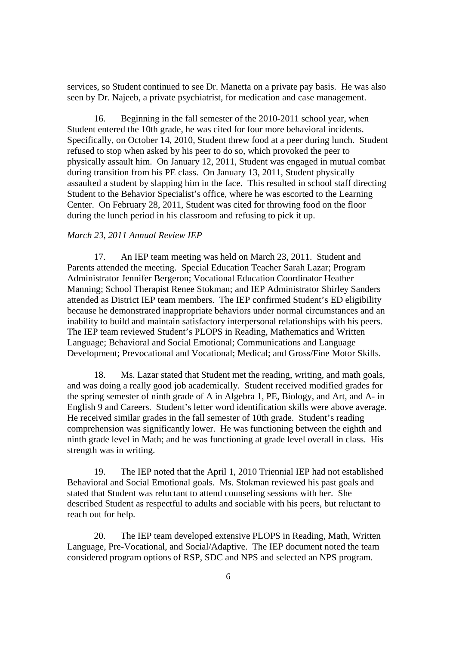services, so Student continued to see Dr. Manetta on a private pay basis. He was also seen by Dr. Najeeb, a private psychiatrist, for medication and case management.

16. Beginning in the fall semester of the 2010-2011 school year, when Student entered the 10th grade, he was cited for four more behavioral incidents. Specifically, on October 14, 2010, Student threw food at a peer during lunch. Student refused to stop when asked by his peer to do so, which provoked the peer to physically assault him. On January 12, 2011, Student was engaged in mutual combat during transition from his PE class. On January 13, 2011, Student physically assaulted a student by slapping him in the face. This resulted in school staff directing Student to the Behavior Specialist's office, where he was escorted to the Learning Center. On February 28, 2011, Student was cited for throwing food on the floor during the lunch period in his classroom and refusing to pick it up.

#### *March 23, 2011 Annual Review IEP*

17. An IEP team meeting was held on March 23, 2011. Student and Parents attended the meeting. Special Education Teacher Sarah Lazar; Program Administrator Jennifer Bergeron; Vocational Education Coordinator Heather Manning; School Therapist Renee Stokman; and IEP Administrator Shirley Sanders attended as District IEP team members. The IEP confirmed Student's ED eligibility because he demonstrated inappropriate behaviors under normal circumstances and an inability to build and maintain satisfactory interpersonal relationships with his peers. The IEP team reviewed Student's PLOPS in Reading, Mathematics and Written Language; Behavioral and Social Emotional; Communications and Language Development; Prevocational and Vocational; Medical; and Gross/Fine Motor Skills.

18. Ms. Lazar stated that Student met the reading, writing, and math goals, and was doing a really good job academically. Student received modified grades for the spring semester of ninth grade of A in Algebra 1, PE, Biology, and Art, and A- in English 9 and Careers. Student's letter word identification skills were above average. He received similar grades in the fall semester of 10th grade. Student's reading comprehension was significantly lower. He was functioning between the eighth and ninth grade level in Math; and he was functioning at grade level overall in class. His strength was in writing.

19. The IEP noted that the April 1, 2010 Triennial IEP had not established Behavioral and Social Emotional goals. Ms. Stokman reviewed his past goals and stated that Student was reluctant to attend counseling sessions with her. She described Student as respectful to adults and sociable with his peers, but reluctant to reach out for help.

20. The IEP team developed extensive PLOPS in Reading, Math, Written Language, Pre-Vocational, and Social/Adaptive. The IEP document noted the team considered program options of RSP, SDC and NPS and selected an NPS program.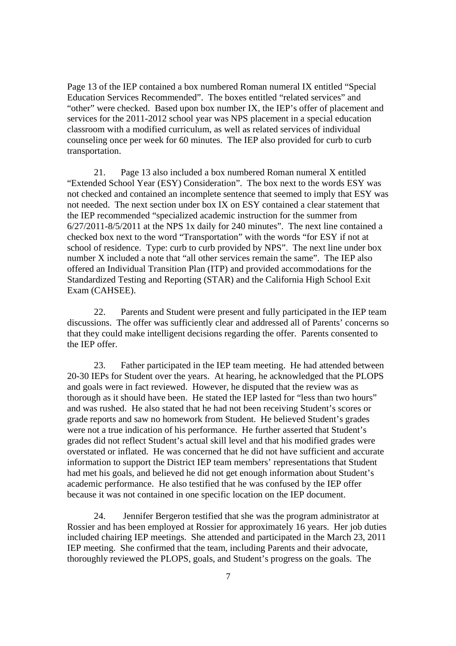Page 13 of the IEP contained a box numbered Roman numeral IX entitled "Special Education Services Recommended". The boxes entitled "related services" and "other" were checked. Based upon box number IX, the IEP's offer of placement and services for the 2011-2012 school year was NPS placement in a special education classroom with a modified curriculum, as well as related services of individual counseling once per week for 60 minutes. The IEP also provided for curb to curb transportation.

21. Page 13 also included a box numbered Roman numeral X entitled "Extended School Year (ESY) Consideration". The box next to the words ESY was not checked and contained an incomplete sentence that seemed to imply that ESY was not needed. The next section under box IX on ESY contained a clear statement that the IEP recommended "specialized academic instruction for the summer from 6/27/2011-8/5/2011 at the NPS 1x daily for 240 minutes". The next line contained a checked box next to the word "Transportation" with the words "for ESY if not at school of residence. Type: curb to curb provided by NPS". The next line under box number X included a note that "all other services remain the same". The IEP also offered an Individual Transition Plan (ITP) and provided accommodations for the Standardized Testing and Reporting (STAR) and the California High School Exit Exam (CAHSEE).

22. Parents and Student were present and fully participated in the IEP team discussions. The offer was sufficiently clear and addressed all of Parents' concerns so that they could make intelligent decisions regarding the offer. Parents consented to the IEP offer.

23. Father participated in the IEP team meeting. He had attended between 20-30 IEPs for Student over the years. At hearing, he acknowledged that the PLOPS and goals were in fact reviewed. However, he disputed that the review was as thorough as it should have been. He stated the IEP lasted for "less than two hours" and was rushed. He also stated that he had not been receiving Student's scores or grade reports and saw no homework from Student. He believed Student's grades were not a true indication of his performance. He further asserted that Student's grades did not reflect Student's actual skill level and that his modified grades were overstated or inflated. He was concerned that he did not have sufficient and accurate information to support the District IEP team members' representations that Student had met his goals, and believed he did not get enough information about Student's academic performance. He also testified that he was confused by the IEP offer because it was not contained in one specific location on the IEP document.

24. Jennifer Bergeron testified that she was the program administrator at Rossier and has been employed at Rossier for approximately 16 years. Her job duties included chairing IEP meetings. She attended and participated in the March 23, 2011 IEP meeting. She confirmed that the team, including Parents and their advocate, thoroughly reviewed the PLOPS, goals, and Student's progress on the goals. The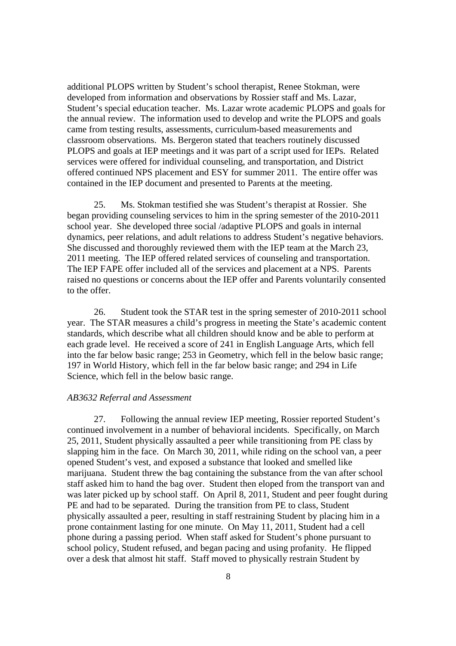additional PLOPS written by Student's school therapist, Renee Stokman, were developed from information and observations by Rossier staff and Ms. Lazar, Student's special education teacher. Ms. Lazar wrote academic PLOPS and goals for the annual review. The information used to develop and write the PLOPS and goals came from testing results, assessments, curriculum-based measurements and classroom observations. Ms. Bergeron stated that teachers routinely discussed PLOPS and goals at IEP meetings and it was part of a script used for IEPs. Related services were offered for individual counseling, and transportation, and District offered continued NPS placement and ESY for summer 2011. The entire offer was contained in the IEP document and presented to Parents at the meeting.

25. Ms. Stokman testified she was Student's therapist at Rossier. She began providing counseling services to him in the spring semester of the 2010-2011 school year. She developed three social /adaptive PLOPS and goals in internal dynamics, peer relations, and adult relations to address Student's negative behaviors. She discussed and thoroughly reviewed them with the IEP team at the March 23, 2011 meeting. The IEP offered related services of counseling and transportation. The IEP FAPE offer included all of the services and placement at a NPS. Parents raised no questions or concerns about the IEP offer and Parents voluntarily consented to the offer.

26. Student took the STAR test in the spring semester of 2010-2011 school year. The STAR measures a child's progress in meeting the State's academic content standards, which describe what all children should know and be able to perform at each grade level. He received a score of 241 in English Language Arts, which fell into the far below basic range; 253 in Geometry, which fell in the below basic range; 197 in World History, which fell in the far below basic range; and 294 in Life Science, which fell in the below basic range.

### *AB3632 Referral and Assessment*

27. Following the annual review IEP meeting, Rossier reported Student's continued involvement in a number of behavioral incidents. Specifically, on March 25, 2011, Student physically assaulted a peer while transitioning from PE class by slapping him in the face. On March 30, 2011, while riding on the school van, a peer opened Student's vest, and exposed a substance that looked and smelled like marijuana. Student threw the bag containing the substance from the van after school staff asked him to hand the bag over. Student then eloped from the transport van and was later picked up by school staff. On April 8, 2011, Student and peer fought during PE and had to be separated. During the transition from PE to class, Student physically assaulted a peer, resulting in staff restraining Student by placing him in a prone containment lasting for one minute. On May 11, 2011, Student had a cell phone during a passing period. When staff asked for Student's phone pursuant to school policy, Student refused, and began pacing and using profanity. He flipped over a desk that almost hit staff. Staff moved to physically restrain Student by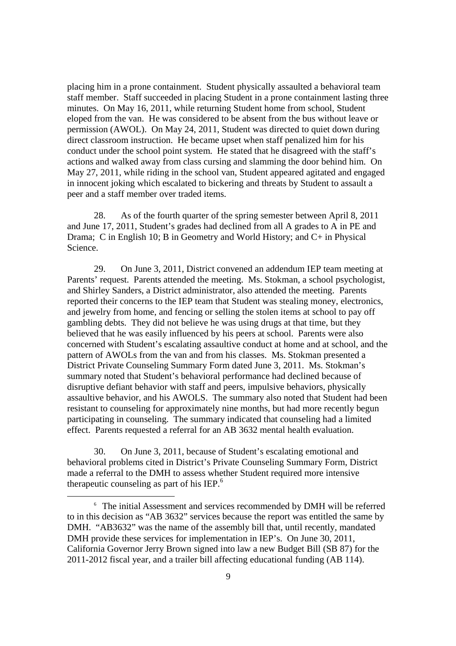placing him in a prone containment. Student physically assaulted a behavioral team staff member. Staff succeeded in placing Student in a prone containment lasting three minutes. On May 16, 2011, while returning Student home from school, Student eloped from the van. He was considered to be absent from the bus without leave or permission (AWOL). On May 24, 2011, Student was directed to quiet down during direct classroom instruction. He became upset when staff penalized him for his conduct under the school point system. He stated that he disagreed with the staff's actions and walked away from class cursing and slamming the door behind him. On May 27, 2011, while riding in the school van, Student appeared agitated and engaged in innocent joking which escalated to bickering and threats by Student to assault a peer and a staff member over traded items.

28. As of the fourth quarter of the spring semester between April 8, 2011 and June 17, 2011, Student's grades had declined from all A grades to A in PE and Drama; C in English 10; B in Geometry and World History; and C+ in Physical Science.

29. On June 3, 2011, District convened an addendum IEP team meeting at Parents' request. Parents attended the meeting. Ms. Stokman, a school psychologist, and Shirley Sanders, a District administrator, also attended the meeting. Parents reported their concerns to the IEP team that Student was stealing money, electronics, and jewelry from home, and fencing or selling the stolen items at school to pay off gambling debts. They did not believe he was using drugs at that time, but they believed that he was easily influenced by his peers at school. Parents were also concerned with Student's escalating assaultive conduct at home and at school, and the pattern of AWOLs from the van and from his classes. Ms. Stokman presented a District Private Counseling Summary Form dated June 3, 2011. Ms. Stokman's summary noted that Student's behavioral performance had declined because of disruptive defiant behavior with staff and peers, impulsive behaviors, physically assaultive behavior, and his AWOLS. The summary also noted that Student had been resistant to counseling for approximately nine months, but had more recently begun participating in counseling. The summary indicated that counseling had a limited effect. Parents requested a referral for an AB 3632 mental health evaluation.

30. On June 3, 2011, because of Student's escalating emotional and behavioral problems cited in District's Private Counseling Summary Form, District made a referral to the DMH to assess whether Student required more intensive therapeutic counseling as part of his IEP.<sup>6</sup>

<sup>6</sup> The initial Assessment and services recommended by DMH will be referred to in this decision as "AB 3632" services because the report was entitled the same by DMH. "AB3632" was the name of the assembly bill that, until recently, mandated DMH provide these services for implementation in IEP's. On June 30, 2011, California Governor Jerry Brown signed into law a new Budget Bill (SB 87) for the 2011-2012 fiscal year, and a trailer bill affecting educational funding (AB 114).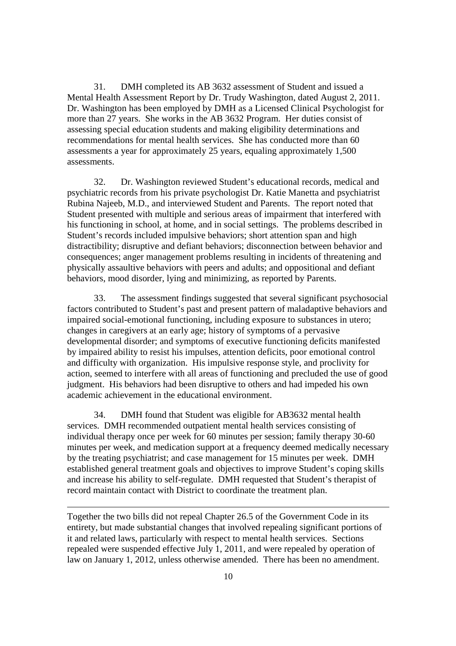31. DMH completed its AB 3632 assessment of Student and issued a Mental Health Assessment Report by Dr. Trudy Washington, dated August 2, 2011. Dr. Washington has been employed by DMH as a Licensed Clinical Psychologist for more than 27 years. She works in the AB 3632 Program. Her duties consist of assessing special education students and making eligibility determinations and recommendations for mental health services. She has conducted more than 60 assessments a year for approximately 25 years, equaling approximately 1,500 assessments.

32. Dr. Washington reviewed Student's educational records, medical and psychiatric records from his private psychologist Dr. Katie Manetta and psychiatrist Rubina Najeeb, M.D., and interviewed Student and Parents. The report noted that Student presented with multiple and serious areas of impairment that interfered with his functioning in school, at home, and in social settings. The problems described in Student's records included impulsive behaviors; short attention span and high distractibility; disruptive and defiant behaviors; disconnection between behavior and consequences; anger management problems resulting in incidents of threatening and physically assaultive behaviors with peers and adults; and oppositional and defiant behaviors, mood disorder, lying and minimizing, as reported by Parents.

33. The assessment findings suggested that several significant psychosocial factors contributed to Student's past and present pattern of maladaptive behaviors and impaired social-emotional functioning, including exposure to substances in utero; changes in caregivers at an early age; history of symptoms of a pervasive developmental disorder; and symptoms of executive functioning deficits manifested by impaired ability to resist his impulses, attention deficits, poor emotional control and difficulty with organization. His impulsive response style, and proclivity for action, seemed to interfere with all areas of functioning and precluded the use of good judgment. His behaviors had been disruptive to others and had impeded his own academic achievement in the educational environment.

34. DMH found that Student was eligible for AB3632 mental health services. DMH recommended outpatient mental health services consisting of individual therapy once per week for 60 minutes per session; family therapy 30-60 minutes per week, and medication support at a frequency deemed medically necessary by the treating psychiatrist; and case management for 15 minutes per week. DMH established general treatment goals and objectives to improve Student's coping skills and increase his ability to self-regulate. DMH requested that Student's therapist of record maintain contact with District to coordinate the treatment plan.

Together the two bills did not repeal Chapter 26.5 of the Government Code in its entirety, but made substantial changes that involved repealing significant portions of it and related laws, particularly with respect to mental health services. Sections repealed were suspended effective July 1, 2011, and were repealed by operation of law on January 1, 2012, unless otherwise amended. There has been no amendment.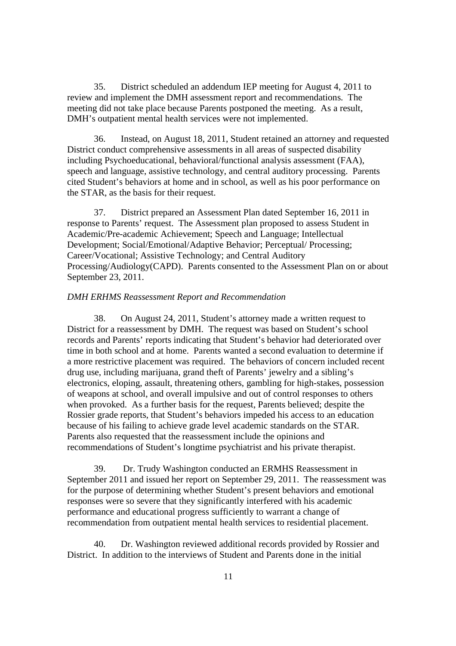35. District scheduled an addendum IEP meeting for August 4, 2011 to review and implement the DMH assessment report and recommendations. The meeting did not take place because Parents postponed the meeting. As a result, DMH's outpatient mental health services were not implemented.

36. Instead, on August 18, 2011, Student retained an attorney and requested District conduct comprehensive assessments in all areas of suspected disability including Psychoeducational, behavioral/functional analysis assessment (FAA), speech and language, assistive technology, and central auditory processing. Parents cited Student's behaviors at home and in school, as well as his poor performance on the STAR, as the basis for their request.

37. District prepared an Assessment Plan dated September 16, 2011 in response to Parents' request. The Assessment plan proposed to assess Student in Academic/Pre-academic Achievement; Speech and Language; Intellectual Development; Social/Emotional/Adaptive Behavior; Perceptual/ Processing; Career/Vocational; Assistive Technology; and Central Auditory Processing/Audiology(CAPD). Parents consented to the Assessment Plan on or about September 23, 2011.

# *DMH ERHMS Reassessment Report and Recommendation*

38. On August 24, 2011, Student's attorney made a written request to District for a reassessment by DMH. The request was based on Student's school records and Parents' reports indicating that Student's behavior had deteriorated over time in both school and at home. Parents wanted a second evaluation to determine if a more restrictive placement was required. The behaviors of concern included recent drug use, including marijuana, grand theft of Parents' jewelry and a sibling's electronics, eloping, assault, threatening others, gambling for high-stakes, possession of weapons at school, and overall impulsive and out of control responses to others when provoked. As a further basis for the request, Parents believed; despite the Rossier grade reports, that Student's behaviors impeded his access to an education because of his failing to achieve grade level academic standards on the STAR. Parents also requested that the reassessment include the opinions and recommendations of Student's longtime psychiatrist and his private therapist.

39. Dr. Trudy Washington conducted an ERMHS Reassessment in September 2011 and issued her report on September 29, 2011. The reassessment was for the purpose of determining whether Student's present behaviors and emotional responses were so severe that they significantly interfered with his academic performance and educational progress sufficiently to warrant a change of recommendation from outpatient mental health services to residential placement.

40. Dr. Washington reviewed additional records provided by Rossier and District. In addition to the interviews of Student and Parents done in the initial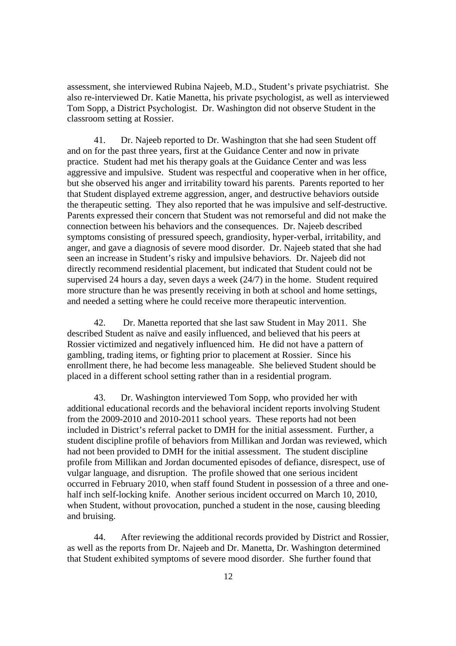assessment, she interviewed Rubina Najeeb, M.D., Student's private psychiatrist. She also re-interviewed Dr. Katie Manetta, his private psychologist, as well as interviewed Tom Sopp, a District Psychologist. Dr. Washington did not observe Student in the classroom setting at Rossier.

41. Dr. Najeeb reported to Dr. Washington that she had seen Student off and on for the past three years, first at the Guidance Center and now in private practice. Student had met his therapy goals at the Guidance Center and was less aggressive and impulsive. Student was respectful and cooperative when in her office, but she observed his anger and irritability toward his parents. Parents reported to her that Student displayed extreme aggression, anger, and destructive behaviors outside the therapeutic setting. They also reported that he was impulsive and self-destructive. Parents expressed their concern that Student was not remorseful and did not make the connection between his behaviors and the consequences. Dr. Najeeb described symptoms consisting of pressured speech, grandiosity, hyper-verbal, irritability, and anger, and gave a diagnosis of severe mood disorder. Dr. Najeeb stated that she had seen an increase in Student's risky and impulsive behaviors. Dr. Najeeb did not directly recommend residential placement, but indicated that Student could not be supervised 24 hours a day, seven days a week (24/7) in the home. Student required more structure than he was presently receiving in both at school and home settings, and needed a setting where he could receive more therapeutic intervention.

42. Dr. Manetta reported that she last saw Student in May 2011. She described Student as naïve and easily influenced, and believed that his peers at Rossier victimized and negatively influenced him. He did not have a pattern of gambling, trading items, or fighting prior to placement at Rossier. Since his enrollment there, he had become less manageable. She believed Student should be placed in a different school setting rather than in a residential program.

43. Dr. Washington interviewed Tom Sopp, who provided her with additional educational records and the behavioral incident reports involving Student from the 2009-2010 and 2010-2011 school years. These reports had not been included in District's referral packet to DMH for the initial assessment. Further, a student discipline profile of behaviors from Millikan and Jordan was reviewed, which had not been provided to DMH for the initial assessment. The student discipline profile from Millikan and Jordan documented episodes of defiance, disrespect, use of vulgar language, and disruption. The profile showed that one serious incident occurred in February 2010, when staff found Student in possession of a three and onehalf inch self-locking knife. Another serious incident occurred on March 10, 2010, when Student, without provocation, punched a student in the nose, causing bleeding and bruising.

44. After reviewing the additional records provided by District and Rossier, as well as the reports from Dr. Najeeb and Dr. Manetta, Dr. Washington determined that Student exhibited symptoms of severe mood disorder. She further found that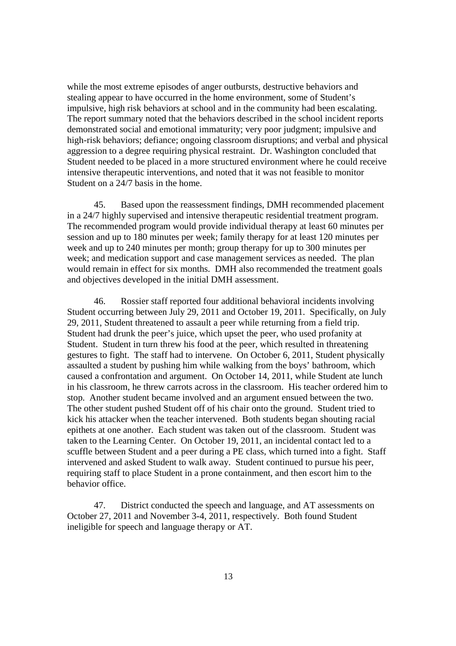while the most extreme episodes of anger outbursts, destructive behaviors and stealing appear to have occurred in the home environment, some of Student's impulsive, high risk behaviors at school and in the community had been escalating. The report summary noted that the behaviors described in the school incident reports demonstrated social and emotional immaturity; very poor judgment; impulsive and high-risk behaviors; defiance; ongoing classroom disruptions; and verbal and physical aggression to a degree requiring physical restraint. Dr. Washington concluded that Student needed to be placed in a more structured environment where he could receive intensive therapeutic interventions, and noted that it was not feasible to monitor Student on a 24/7 basis in the home.

45. Based upon the reassessment findings, DMH recommended placement in a 24/7 highly supervised and intensive therapeutic residential treatment program. The recommended program would provide individual therapy at least 60 minutes per session and up to 180 minutes per week; family therapy for at least 120 minutes per week and up to 240 minutes per month; group therapy for up to 300 minutes per week; and medication support and case management services as needed. The plan would remain in effect for six months. DMH also recommended the treatment goals and objectives developed in the initial DMH assessment.

46. Rossier staff reported four additional behavioral incidents involving Student occurring between July 29, 2011 and October 19, 2011. Specifically, on July 29, 2011, Student threatened to assault a peer while returning from a field trip. Student had drunk the peer's juice, which upset the peer, who used profanity at Student. Student in turn threw his food at the peer, which resulted in threatening gestures to fight. The staff had to intervene. On October 6, 2011, Student physically assaulted a student by pushing him while walking from the boys' bathroom, which caused a confrontation and argument. On October 14, 2011, while Student ate lunch in his classroom, he threw carrots across in the classroom. His teacher ordered him to stop. Another student became involved and an argument ensued between the two. The other student pushed Student off of his chair onto the ground. Student tried to kick his attacker when the teacher intervened. Both students began shouting racial epithets at one another. Each student was taken out of the classroom. Student was taken to the Learning Center. On October 19, 2011, an incidental contact led to a scuffle between Student and a peer during a PE class, which turned into a fight. Staff intervened and asked Student to walk away. Student continued to pursue his peer, requiring staff to place Student in a prone containment, and then escort him to the behavior office.

47. District conducted the speech and language, and AT assessments on October 27, 2011 and November 3-4, 2011, respectively. Both found Student ineligible for speech and language therapy or AT.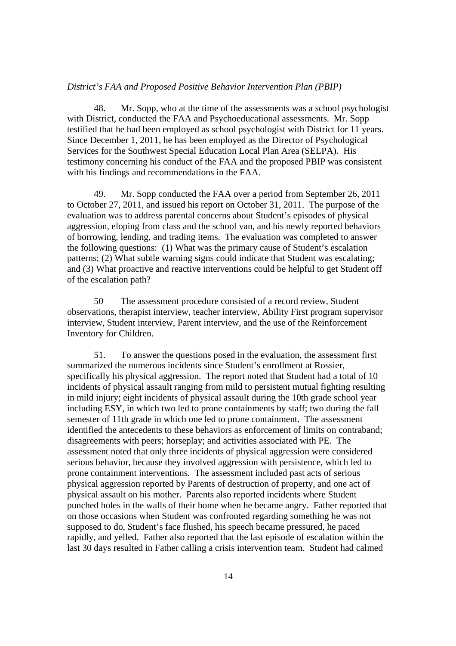### *District's FAA and Proposed Positive Behavior Intervention Plan (PBIP)*

48. Mr. Sopp, who at the time of the assessments was a school psychologist with District, conducted the FAA and Psychoeducational assessments. Mr. Sopp testified that he had been employed as school psychologist with District for 11 years. Since December 1, 2011, he has been employed as the Director of Psychological Services for the Southwest Special Education Local Plan Area (SELPA). His testimony concerning his conduct of the FAA and the proposed PBIP was consistent with his findings and recommendations in the FAA.

49. Mr. Sopp conducted the FAA over a period from September 26, 2011 to October 27, 2011, and issued his report on October 31, 2011. The purpose of the evaluation was to address parental concerns about Student's episodes of physical aggression, eloping from class and the school van, and his newly reported behaviors of borrowing, lending, and trading items. The evaluation was completed to answer the following questions: (1) What was the primary cause of Student's escalation patterns; (2) What subtle warning signs could indicate that Student was escalating; and (3) What proactive and reactive interventions could be helpful to get Student off of the escalation path?

50 The assessment procedure consisted of a record review, Student observations, therapist interview, teacher interview, Ability First program supervisor interview, Student interview, Parent interview, and the use of the Reinforcement Inventory for Children.

51. To answer the questions posed in the evaluation, the assessment first summarized the numerous incidents since Student's enrollment at Rossier, specifically his physical aggression. The report noted that Student had a total of 10 incidents of physical assault ranging from mild to persistent mutual fighting resulting in mild injury; eight incidents of physical assault during the 10th grade school year including ESY, in which two led to prone containments by staff; two during the fall semester of 11th grade in which one led to prone containment. The assessment identified the antecedents to these behaviors as enforcement of limits on contraband; disagreements with peers; horseplay; and activities associated with PE. The assessment noted that only three incidents of physical aggression were considered serious behavior, because they involved aggression with persistence, which led to prone containment interventions. The assessment included past acts of serious physical aggression reported by Parents of destruction of property, and one act of physical assault on his mother. Parents also reported incidents where Student punched holes in the walls of their home when he became angry. Father reported that on those occasions when Student was confronted regarding something he was not supposed to do, Student's face flushed, his speech became pressured, he paced rapidly, and yelled. Father also reported that the last episode of escalation within the last 30 days resulted in Father calling a crisis intervention team. Student had calmed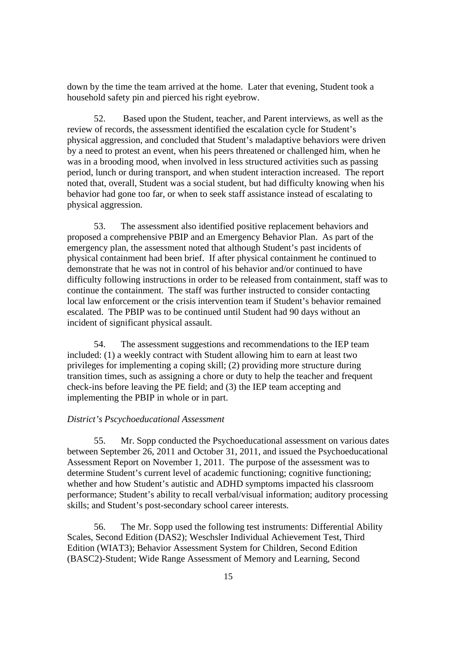down by the time the team arrived at the home. Later that evening, Student took a household safety pin and pierced his right eyebrow.

52. Based upon the Student, teacher, and Parent interviews, as well as the review of records, the assessment identified the escalation cycle for Student's physical aggression, and concluded that Student's maladaptive behaviors were driven by a need to protest an event, when his peers threatened or challenged him, when he was in a brooding mood, when involved in less structured activities such as passing period, lunch or during transport, and when student interaction increased. The report noted that, overall, Student was a social student, but had difficulty knowing when his behavior had gone too far, or when to seek staff assistance instead of escalating to physical aggression.

53. The assessment also identified positive replacement behaviors and proposed a comprehensive PBIP and an Emergency Behavior Plan. As part of the emergency plan, the assessment noted that although Student's past incidents of physical containment had been brief. If after physical containment he continued to demonstrate that he was not in control of his behavior and/or continued to have difficulty following instructions in order to be released from containment, staff was to continue the containment. The staff was further instructed to consider contacting local law enforcement or the crisis intervention team if Student's behavior remained escalated. The PBIP was to be continued until Student had 90 days without an incident of significant physical assault.

54. The assessment suggestions and recommendations to the IEP team included: (1) a weekly contract with Student allowing him to earn at least two privileges for implementing a coping skill; (2) providing more structure during transition times, such as assigning a chore or duty to help the teacher and frequent check-ins before leaving the PE field; and (3) the IEP team accepting and implementing the PBIP in whole or in part.

# *District's Pscychoeducational Assessment*

55. Mr. Sopp conducted the Psychoeducational assessment on various dates between September 26, 2011 and October 31, 2011, and issued the Psychoeducational Assessment Report on November 1, 2011. The purpose of the assessment was to determine Student's current level of academic functioning; cognitive functioning; whether and how Student's autistic and ADHD symptoms impacted his classroom performance; Student's ability to recall verbal/visual information; auditory processing skills; and Student's post-secondary school career interests.

56. The Mr. Sopp used the following test instruments: Differential Ability Scales, Second Edition (DAS2); Weschsler Individual Achievement Test, Third Edition (WIAT3); Behavior Assessment System for Children, Second Edition (BASC2)-Student; Wide Range Assessment of Memory and Learning, Second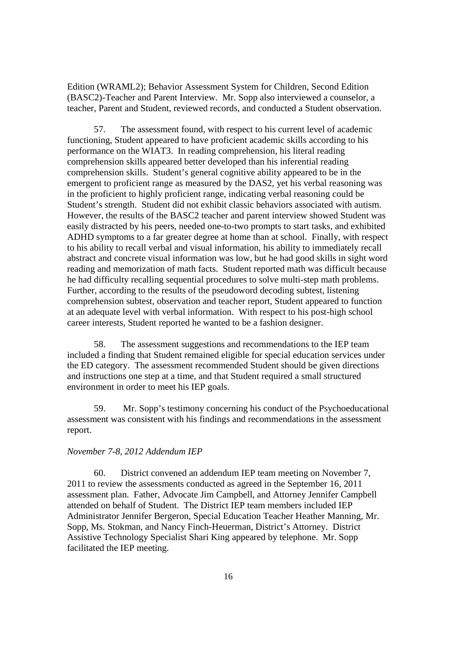Edition (WRAML2); Behavior Assessment System for Children, Second Edition (BASC2)-Teacher and Parent Interview. Mr. Sopp also interviewed a counselor, a teacher, Parent and Student, reviewed records, and conducted a Student observation.

57. The assessment found, with respect to his current level of academic functioning, Student appeared to have proficient academic skills according to his performance on the WIAT3. In reading comprehension, his literal reading comprehension skills appeared better developed than his inferential reading comprehension skills. Student's general cognitive ability appeared to be in the emergent to proficient range as measured by the DAS2, yet his verbal reasoning was in the proficient to highly proficient range, indicating verbal reasoning could be Student's strength. Student did not exhibit classic behaviors associated with autism. However, the results of the BASC2 teacher and parent interview showed Student was easily distracted by his peers, needed one-to-two prompts to start tasks, and exhibited ADHD symptoms to a far greater degree at home than at school. Finally, with respect to his ability to recall verbal and visual information, his ability to immediately recall abstract and concrete visual information was low, but he had good skills in sight word reading and memorization of math facts. Student reported math was difficult because he had difficulty recalling sequential procedures to solve multi-step math problems. Further, according to the results of the pseudoword decoding subtest, listening comprehension subtest, observation and teacher report, Student appeared to function at an adequate level with verbal information. With respect to his post-high school career interests, Student reported he wanted to be a fashion designer.

58. The assessment suggestions and recommendations to the IEP team included a finding that Student remained eligible for special education services under the ED category. The assessment recommended Student should be given directions and instructions one step at a time, and that Student required a small structured environment in order to meet his IEP goals.

59. Mr. Sopp's testimony concerning his conduct of the Psychoeducational assessment was consistent with his findings and recommendations in the assessment report.

# *November 7-8, 2012 Addendum IEP*

60. District convened an addendum IEP team meeting on November 7, 2011 to review the assessments conducted as agreed in the September 16, 2011 assessment plan. Father, Advocate Jim Campbell, and Attorney Jennifer Campbell attended on behalf of Student. The District IEP team members included IEP Administrator Jennifer Bergeron, Special Education Teacher Heather Manning, Mr. Sopp, Ms. Stokman, and Nancy Finch-Heuerman, District's Attorney. District Assistive Technology Specialist Shari King appeared by telephone. Mr. Sopp facilitated the IEP meeting.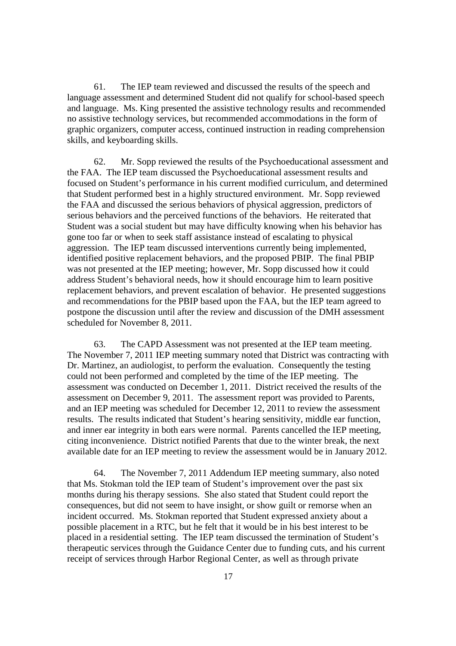61. The IEP team reviewed and discussed the results of the speech and language assessment and determined Student did not qualify for school-based speech and language. Ms. King presented the assistive technology results and recommended no assistive technology services, but recommended accommodations in the form of graphic organizers, computer access, continued instruction in reading comprehension skills, and keyboarding skills.

62. Mr. Sopp reviewed the results of the Psychoeducational assessment and the FAA. The IEP team discussed the Psychoeducational assessment results and focused on Student's performance in his current modified curriculum, and determined that Student performed best in a highly structured environment. Mr. Sopp reviewed the FAA and discussed the serious behaviors of physical aggression, predictors of serious behaviors and the perceived functions of the behaviors. He reiterated that Student was a social student but may have difficulty knowing when his behavior has gone too far or when to seek staff assistance instead of escalating to physical aggression. The IEP team discussed interventions currently being implemented, identified positive replacement behaviors, and the proposed PBIP. The final PBIP was not presented at the IEP meeting; however, Mr. Sopp discussed how it could address Student's behavioral needs, how it should encourage him to learn positive replacement behaviors, and prevent escalation of behavior. He presented suggestions and recommendations for the PBIP based upon the FAA, but the IEP team agreed to postpone the discussion until after the review and discussion of the DMH assessment scheduled for November 8, 2011.

63. The CAPD Assessment was not presented at the IEP team meeting. The November 7, 2011 IEP meeting summary noted that District was contracting with Dr. Martinez, an audiologist, to perform the evaluation. Consequently the testing could not been performed and completed by the time of the IEP meeting. The assessment was conducted on December 1, 2011. District received the results of the assessment on December 9, 2011. The assessment report was provided to Parents, and an IEP meeting was scheduled for December 12, 2011 to review the assessment results. The results indicated that Student's hearing sensitivity, middle ear function, and inner ear integrity in both ears were normal. Parents cancelled the IEP meeting, citing inconvenience. District notified Parents that due to the winter break, the next available date for an IEP meeting to review the assessment would be in January 2012.

64. The November 7, 2011 Addendum IEP meeting summary, also noted that Ms. Stokman told the IEP team of Student's improvement over the past six months during his therapy sessions. She also stated that Student could report the consequences, but did not seem to have insight, or show guilt or remorse when an incident occurred. Ms. Stokman reported that Student expressed anxiety about a possible placement in a RTC, but he felt that it would be in his best interest to be placed in a residential setting. The IEP team discussed the termination of Student's therapeutic services through the Guidance Center due to funding cuts, and his current receipt of services through Harbor Regional Center, as well as through private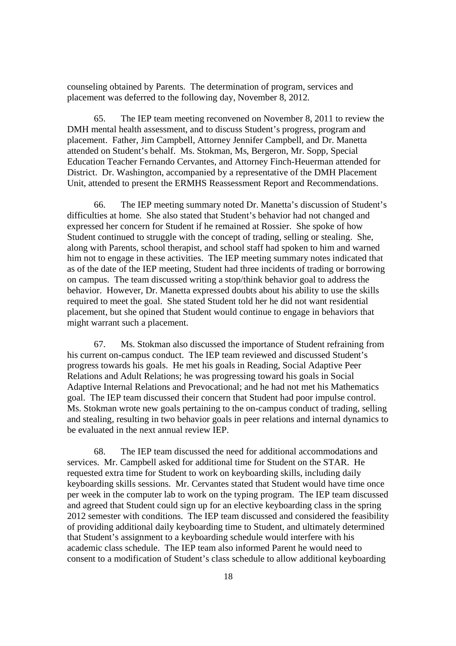counseling obtained by Parents. The determination of program, services and placement was deferred to the following day, November 8, 2012.

65. The IEP team meeting reconvened on November 8, 2011 to review the DMH mental health assessment, and to discuss Student's progress, program and placement. Father, Jim Campbell, Attorney Jennifer Campbell, and Dr. Manetta attended on Student's behalf. Ms. Stokman, Ms, Bergeron, Mr. Sopp, Special Education Teacher Fernando Cervantes, and Attorney Finch-Heuerman attended for District. Dr. Washington, accompanied by a representative of the DMH Placement Unit, attended to present the ERMHS Reassessment Report and Recommendations.

66. The IEP meeting summary noted Dr. Manetta's discussion of Student's difficulties at home. She also stated that Student's behavior had not changed and expressed her concern for Student if he remained at Rossier. She spoke of how Student continued to struggle with the concept of trading, selling or stealing. She, along with Parents, school therapist, and school staff had spoken to him and warned him not to engage in these activities. The IEP meeting summary notes indicated that as of the date of the IEP meeting, Student had three incidents of trading or borrowing on campus. The team discussed writing a stop/think behavior goal to address the behavior. However, Dr. Manetta expressed doubts about his ability to use the skills required to meet the goal. She stated Student told her he did not want residential placement, but she opined that Student would continue to engage in behaviors that might warrant such a placement.

67. Ms. Stokman also discussed the importance of Student refraining from his current on-campus conduct. The IEP team reviewed and discussed Student's progress towards his goals. He met his goals in Reading, Social Adaptive Peer Relations and Adult Relations; he was progressing toward his goals in Social Adaptive Internal Relations and Prevocational; and he had not met his Mathematics goal. The IEP team discussed their concern that Student had poor impulse control. Ms. Stokman wrote new goals pertaining to the on-campus conduct of trading, selling and stealing, resulting in two behavior goals in peer relations and internal dynamics to be evaluated in the next annual review IEP.

68. The IEP team discussed the need for additional accommodations and services. Mr. Campbell asked for additional time for Student on the STAR. He requested extra time for Student to work on keyboarding skills, including daily keyboarding skills sessions. Mr. Cervantes stated that Student would have time once per week in the computer lab to work on the typing program. The IEP team discussed and agreed that Student could sign up for an elective keyboarding class in the spring 2012 semester with conditions. The IEP team discussed and considered the feasibility of providing additional daily keyboarding time to Student, and ultimately determined that Student's assignment to a keyboarding schedule would interfere with his academic class schedule. The IEP team also informed Parent he would need to consent to a modification of Student's class schedule to allow additional keyboarding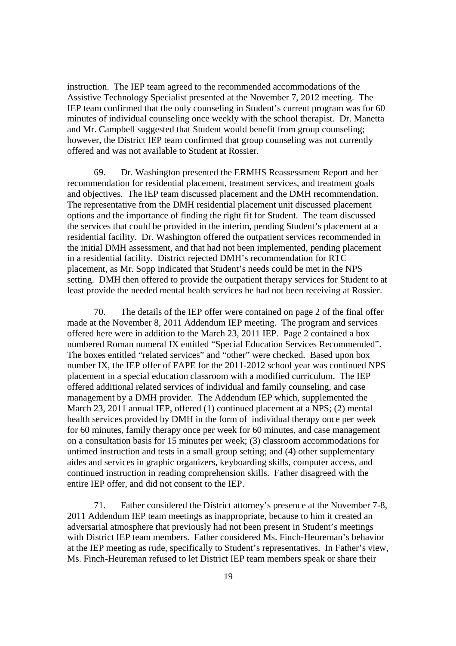instruction. The IEP team agreed to the recommended accommodations of the Assistive Technology Specialist presented at the November 7, 2012 meeting. The IEP team confirmed that the only counseling in Student's current program was for 60 minutes of individual counseling once weekly with the school therapist. Dr. Manetta and Mr. Campbell suggested that Student would benefit from group counseling; however, the District IEP team confirmed that group counseling was not currently offered and was not available to Student at Rossier.

69. Dr. Washington presented the ERMHS Reassessment Report and her recommendation for residential placement, treatment services, and treatment goals and objectives. The IEP team discussed placement and the DMH recommendation. The representative from the DMH residential placement unit discussed placement options and the importance of finding the right fit for Student. The team discussed the services that could be provided in the interim, pending Student's placement at a residential facility. Dr. Washington offered the outpatient services recommended in the initial DMH assessment, and that had not been implemented, pending placement in a residential facility. District rejected DMH's recommendation for RTC placement, as Mr. Sopp indicated that Student's needs could be met in the NPS setting. DMH then offered to provide the outpatient therapy services for Student to at least provide the needed mental health services he had not been receiving at Rossier.

70. The details of the IEP offer were contained on page 2 of the final offer made at the November 8, 2011 Addendum IEP meeting. The program and services offered here were in addition to the March 23, 2011 IEP. Page 2 contained a box numbered Roman numeral IX entitled "Special Education Services Recommended". The boxes entitled "related services" and "other" were checked. Based upon box number IX, the IEP offer of FAPE for the 2011-2012 school year was continued NPS placement in a special education classroom with a modified curriculum. The IEP offered additional related services of individual and family counseling, and case management by a DMH provider. The Addendum IEP which, supplemented the March 23, 2011 annual IEP, offered (1) continued placement at a NPS; (2) mental health services provided by DMH in the form of individual therapy once per week for 60 minutes, family therapy once per week for 60 minutes, and case management on a consultation basis for 15 minutes per week; (3) classroom accommodations for untimed instruction and tests in a small group setting; and (4) other supplementary aides and services in graphic organizers, keyboarding skills, computer access, and continued instruction in reading comprehension skills. Father disagreed with the entire IEP offer, and did not consent to the IEP.

71. Father considered the District attorney's presence at the November 7-8, 2011 Addendum IEP team meetings as inappropriate, because to him it created an adversarial atmosphere that previously had not been present in Student's meetings with District IEP team members. Father considered Ms. Finch-Heureman's behavior at the IEP meeting as rude, specifically to Student's representatives. In Father's view, Ms. Finch-Heureman refused to let District IEP team members speak or share their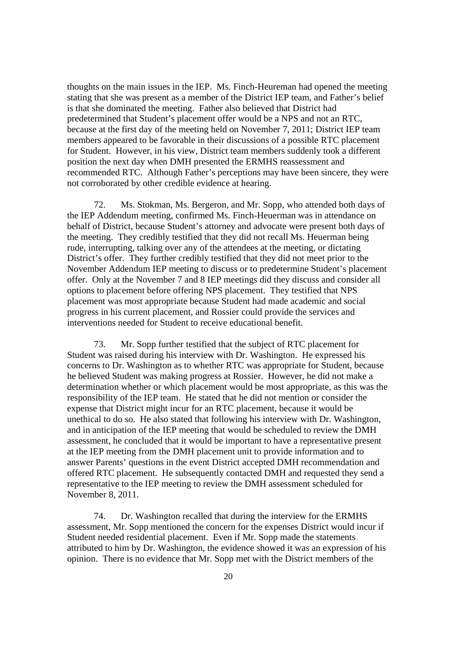thoughts on the main issues in the IEP. Ms. Finch-Heureman had opened the meeting stating that she was present as a member of the District IEP team, and Father's belief is that she dominated the meeting. Father also believed that District had predetermined that Student's placement offer would be a NPS and not an RTC, because at the first day of the meeting held on November 7, 2011; District IEP team members appeared to be favorable in their discussions of a possible RTC placement for Student. However, in his view, District team members suddenly took a different position the next day when DMH presented the ERMHS reassessment and recommended RTC. Although Father's perceptions may have been sincere, they were not corroborated by other credible evidence at hearing.

72. Ms. Stokman, Ms. Bergeron, and Mr. Sopp, who attended both days of the IEP Addendum meeting, confirmed Ms. Finch-Heuerman was in attendance on behalf of District, because Student's attorney and advocate were present both days of the meeting. They credibly testified that they did not recall Ms. Heuerman being rude, interrupting, talking over any of the attendees at the meeting, or dictating District's offer. They further credibly testified that they did not meet prior to the November Addendum IEP meeting to discuss or to predetermine Student's placement offer. Only at the November 7 and 8 IEP meetings did they discuss and consider all options to placement before offering NPS placement. They testified that NPS placement was most appropriate because Student had made academic and social progress in his current placement, and Rossier could provide the services and interventions needed for Student to receive educational benefit.

73. Mr. Sopp further testified that the subject of RTC placement for Student was raised during his interview with Dr. Washington. He expressed his concerns to Dr. Washington as to whether RTC was appropriate for Student, because he believed Student was making progress at Rossier. However, he did not make a determination whether or which placement would be most appropriate, as this was the responsibility of the IEP team. He stated that he did not mention or consider the expense that District might incur for an RTC placement, because it would be unethical to do so. He also stated that following his interview with Dr. Washington, and in anticipation of the IEP meeting that would be scheduled to review the DMH assessment, he concluded that it would be important to have a representative present at the IEP meeting from the DMH placement unit to provide information and to answer Parents' questions in the event District accepted DMH recommendation and offered RTC placement. He subsequently contacted DMH and requested they send a representative to the IEP meeting to review the DMH assessment scheduled for November 8, 2011.

74. Dr. Washington recalled that during the interview for the ERMHS assessment, Mr. Sopp mentioned the concern for the expenses District would incur if Student needed residential placement. Even if Mr. Sopp made the statements attributed to him by Dr. Washington, the evidence showed it was an expression of his opinion. There is no evidence that Mr. Sopp met with the District members of the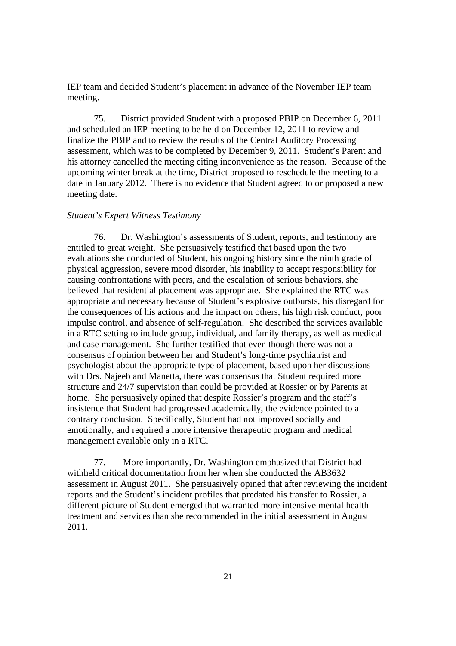IEP team and decided Student's placement in advance of the November IEP team meeting.

75. District provided Student with a proposed PBIP on December 6, 2011 and scheduled an IEP meeting to be held on December 12, 2011 to review and finalize the PBIP and to review the results of the Central Auditory Processing assessment, which was to be completed by December 9, 2011. Student's Parent and his attorney cancelled the meeting citing inconvenience as the reason. Because of the upcoming winter break at the time, District proposed to reschedule the meeting to a date in January 2012. There is no evidence that Student agreed to or proposed a new meeting date.

### *Student's Expert Witness Testimony*

76. Dr. Washington's assessments of Student, reports, and testimony are entitled to great weight. She persuasively testified that based upon the two evaluations she conducted of Student, his ongoing history since the ninth grade of physical aggression, severe mood disorder, his inability to accept responsibility for causing confrontations with peers, and the escalation of serious behaviors, she believed that residential placement was appropriate. She explained the RTC was appropriate and necessary because of Student's explosive outbursts, his disregard for the consequences of his actions and the impact on others, his high risk conduct, poor impulse control, and absence of self-regulation. She described the services available in a RTC setting to include group, individual, and family therapy, as well as medical and case management. She further testified that even though there was not a consensus of opinion between her and Student's long-time psychiatrist and psychologist about the appropriate type of placement, based upon her discussions with Drs. Najeeb and Manetta, there was consensus that Student required more structure and 24/7 supervision than could be provided at Rossier or by Parents at home. She persuasively opined that despite Rossier's program and the staff's insistence that Student had progressed academically, the evidence pointed to a contrary conclusion. Specifically, Student had not improved socially and emotionally, and required a more intensive therapeutic program and medical management available only in a RTC.

77. More importantly, Dr. Washington emphasized that District had withheld critical documentation from her when she conducted the AB3632 assessment in August 2011. She persuasively opined that after reviewing the incident reports and the Student's incident profiles that predated his transfer to Rossier, a different picture of Student emerged that warranted more intensive mental health treatment and services than she recommended in the initial assessment in August 2011.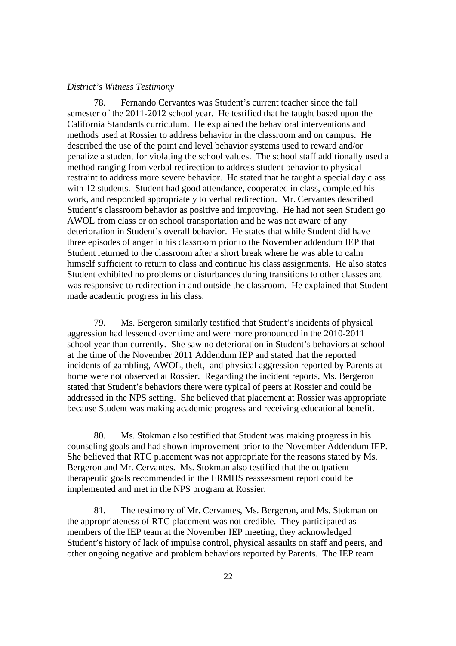### *District's Witness Testimony*

78. Fernando Cervantes was Student's current teacher since the fall semester of the 2011-2012 school year. He testified that he taught based upon the California Standards curriculum. He explained the behavioral interventions and methods used at Rossier to address behavior in the classroom and on campus. He described the use of the point and level behavior systems used to reward and/or penalize a student for violating the school values. The school staff additionally used a method ranging from verbal redirection to address student behavior to physical restraint to address more severe behavior. He stated that he taught a special day class with 12 students. Student had good attendance, cooperated in class, completed his work, and responded appropriately to verbal redirection. Mr. Cervantes described Student's classroom behavior as positive and improving. He had not seen Student go AWOL from class or on school transportation and he was not aware of any deterioration in Student's overall behavior. He states that while Student did have three episodes of anger in his classroom prior to the November addendum IEP that Student returned to the classroom after a short break where he was able to calm himself sufficient to return to class and continue his class assignments. He also states Student exhibited no problems or disturbances during transitions to other classes and was responsive to redirection in and outside the classroom. He explained that Student made academic progress in his class.

79. Ms. Bergeron similarly testified that Student's incidents of physical aggression had lessened over time and were more pronounced in the 2010-2011 school year than currently. She saw no deterioration in Student's behaviors at school at the time of the November 2011 Addendum IEP and stated that the reported incidents of gambling, AWOL, theft, and physical aggression reported by Parents at home were not observed at Rossier. Regarding the incident reports, Ms. Bergeron stated that Student's behaviors there were typical of peers at Rossier and could be addressed in the NPS setting. She believed that placement at Rossier was appropriate because Student was making academic progress and receiving educational benefit.

80. Ms. Stokman also testified that Student was making progress in his counseling goals and had shown improvement prior to the November Addendum IEP. She believed that RTC placement was not appropriate for the reasons stated by Ms. Bergeron and Mr. Cervantes. Ms. Stokman also testified that the outpatient therapeutic goals recommended in the ERMHS reassessment report could be implemented and met in the NPS program at Rossier.

81. The testimony of Mr. Cervantes, Ms. Bergeron, and Ms. Stokman on the appropriateness of RTC placement was not credible. They participated as members of the IEP team at the November IEP meeting, they acknowledged Student's history of lack of impulse control, physical assaults on staff and peers, and other ongoing negative and problem behaviors reported by Parents. The IEP team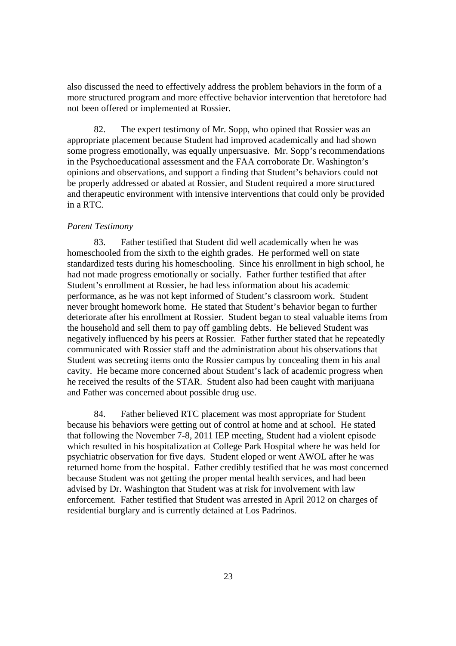also discussed the need to effectively address the problem behaviors in the form of a more structured program and more effective behavior intervention that heretofore had not been offered or implemented at Rossier.

82. The expert testimony of Mr. Sopp, who opined that Rossier was an appropriate placement because Student had improved academically and had shown some progress emotionally, was equally unpersuasive. Mr. Sopp's recommendations in the Psychoeducational assessment and the FAA corroborate Dr. Washington's opinions and observations, and support a finding that Student's behaviors could not be properly addressed or abated at Rossier, and Student required a more structured and therapeutic environment with intensive interventions that could only be provided in a RTC.

## *Parent Testimony*

83. Father testified that Student did well academically when he was homeschooled from the sixth to the eighth grades. He performed well on state standardized tests during his homeschooling. Since his enrollment in high school, he had not made progress emotionally or socially. Father further testified that after Student's enrollment at Rossier, he had less information about his academic performance, as he was not kept informed of Student's classroom work. Student never brought homework home. He stated that Student's behavior began to further deteriorate after his enrollment at Rossier. Student began to steal valuable items from the household and sell them to pay off gambling debts. He believed Student was negatively influenced by his peers at Rossier. Father further stated that he repeatedly communicated with Rossier staff and the administration about his observations that Student was secreting items onto the Rossier campus by concealing them in his anal cavity. He became more concerned about Student's lack of academic progress when he received the results of the STAR. Student also had been caught with marijuana and Father was concerned about possible drug use.

84. Father believed RTC placement was most appropriate for Student because his behaviors were getting out of control at home and at school. He stated that following the November 7-8, 2011 IEP meeting, Student had a violent episode which resulted in his hospitalization at College Park Hospital where he was held for psychiatric observation for five days. Student eloped or went AWOL after he was returned home from the hospital. Father credibly testified that he was most concerned because Student was not getting the proper mental health services, and had been advised by Dr. Washington that Student was at risk for involvement with law enforcement. Father testified that Student was arrested in April 2012 on charges of residential burglary and is currently detained at Los Padrinos.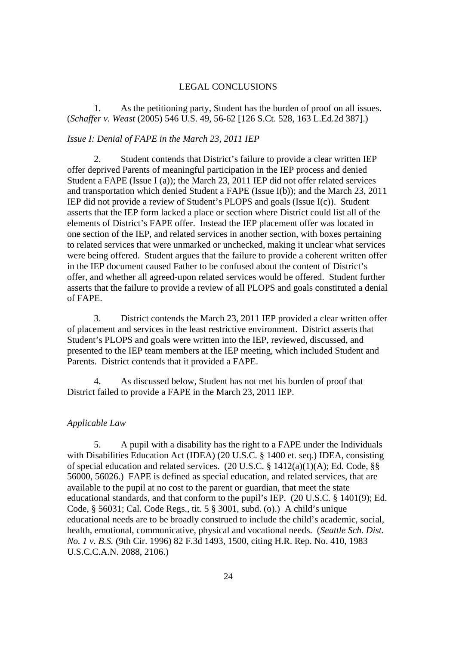# LEGAL CONCLUSIONS

1. As the petitioning party, Student has the burden of proof on all issues. (*Schaffer v. Weast* (2005) 546 U.S. 49, 56-62 [126 S.Ct. 528, 163 L.Ed.2d 387].)

# *Issue I: Denial of FAPE in the March 23, 2011 IEP*

2. Student contends that District's failure to provide a clear written IEP offer deprived Parents of meaningful participation in the IEP process and denied Student a FAPE (Issue I (a)); the March 23, 2011 IEP did not offer related services and transportation which denied Student a FAPE (Issue I(b)); and the March 23, 2011 IEP did not provide a review of Student's PLOPS and goals (Issue I(c)). Student asserts that the IEP form lacked a place or section where District could list all of the elements of District's FAPE offer. Instead the IEP placement offer was located in one section of the IEP, and related services in another section, with boxes pertaining to related services that were unmarked or unchecked, making it unclear what services were being offered. Student argues that the failure to provide a coherent written offer in the IEP document caused Father to be confused about the content of District's offer, and whether all agreed-upon related services would be offered. Student further asserts that the failure to provide a review of all PLOPS and goals constituted a denial of FAPE.

3. District contends the March 23, 2011 IEP provided a clear written offer of placement and services in the least restrictive environment. District asserts that Student's PLOPS and goals were written into the IEP, reviewed, discussed, and presented to the IEP team members at the IEP meeting, which included Student and Parents. District contends that it provided a FAPE.

4. As discussed below, Student has not met his burden of proof that District failed to provide a FAPE in the March 23, 2011 IEP.

# *Applicable Law*

5. A pupil with a disability has the right to a FAPE under the Individuals with Disabilities Education Act (IDEA) (20 U.S.C. § 1400 et. seq.) IDEA, consisting of special education and related services. (20 U.S.C. § 1412(a)(1)(A); Ed. Code, §§ 56000, 56026.) FAPE is defined as special education, and related services, that are available to the pupil at no cost to the parent or guardian, that meet the state educational standards, and that conform to the pupil's IEP. (20 U.S.C. § 1401(9); Ed. Code, § 56031; Cal. Code Regs., tit. 5 § 3001, subd. (o).) A child's unique educational needs are to be broadly construed to include the child's academic, social, health, emotional, communicative, physical and vocational needs. (*Seattle Sch. Dist. No. 1 v. B.S.* (9th Cir. 1996) 82 F.3d 1493, 1500, citing H.R. Rep. No. 410, 1983 U.S.C.C.A.N. 2088, 2106.)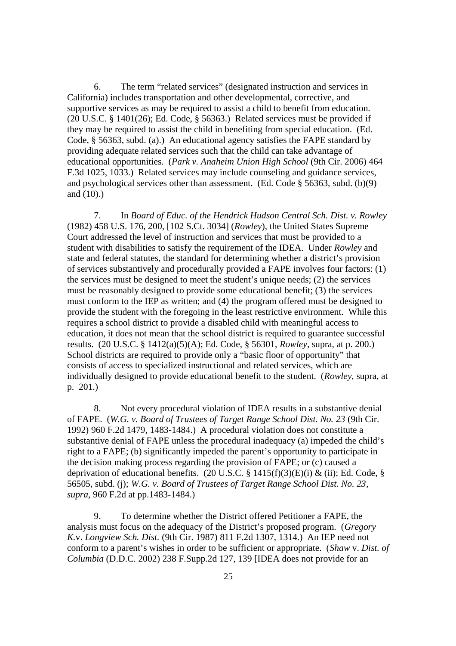6. The term "related services" (designated instruction and services in California) includes transportation and other developmental, corrective, and supportive services as may be required to assist a child to benefit from education. (20 U.S.C. § 1401(26); Ed. Code, § 56363.) Related services must be provided if they may be required to assist the child in benefiting from special education. (Ed. Code, § 56363, subd. (a).) An educational agency satisfies the FAPE standard by providing adequate related services such that the child can take advantage of educational opportunities. (*Park v. Anaheim Union High School* (9th Cir. 2006) 464 F.3d 1025, 1033.) Related services may include counseling and guidance services, and psychological services other than assessment. (Ed. Code § 56363, subd. (b)(9) and (10).)

7. In *Board of Educ. of the Hendrick Hudson Central Sch. Dist. v. Rowley* (1982) 458 U.S. 176, 200, [102 S.Ct. 3034] (*Rowley*), the United States Supreme Court addressed the level of instruction and services that must be provided to a student with disabilities to satisfy the requirement of the IDEA. Under *Rowley* and state and federal statutes, the standard for determining whether a district's provision of services substantively and procedurally provided a FAPE involves four factors: (1) the services must be designed to meet the student's unique needs; (2) the services must be reasonably designed to provide some educational benefit; (3) the services must conform to the IEP as written; and (4) the program offered must be designed to provide the student with the foregoing in the least restrictive environment. While this requires a school district to provide a disabled child with meaningful access to education, it does not mean that the school district is required to guarantee successful results. (20 U.S.C. § 1412(a)(5)(A); Ed. Code, § 56301, *Rowley*, supra, at p. 200.) School districts are required to provide only a "basic floor of opportunity" that consists of access to specialized instructional and related services, which are individually designed to provide educational benefit to the student. (*Rowley*, supra, at p. 201.)

8. Not every procedural violation of IDEA results in a substantive denial of FAPE. (*W.G. v. Board of Trustees of Target Range School Dist. No. 23* (9th Cir. 1992) 960 F.2d 1479, 1483-1484.) A procedural violation does not constitute a substantive denial of FAPE unless the procedural inadequacy (a) impeded the child's right to a FAPE; (b) significantly impeded the parent's opportunity to participate in the decision making process regarding the provision of FAPE; or (c) caused a deprivation of educational benefits. (20 U.S.C. § 1415(f)(3)(E)(i) & (ii); Ed. Code, § 56505, subd. (j); *W.G. v. Board of Trustees of Target Range School Dist. No. 23*, *supra*, 960 F.2d at pp.1483-1484.)

9. To determine whether the District offered Petitioner a FAPE, the analysis must focus on the adequacy of the District's proposed program. (*Gregory K.*v. *Longview Sch. Dist.* (9th Cir. 1987) 811 F.2d 1307, 1314.) An IEP need not conform to a parent's wishes in order to be sufficient or appropriate. (*Shaw* v. *Dist. of Columbia* (D.D.C. 2002) 238 F.Supp.2d 127, 139 [IDEA does not provide for an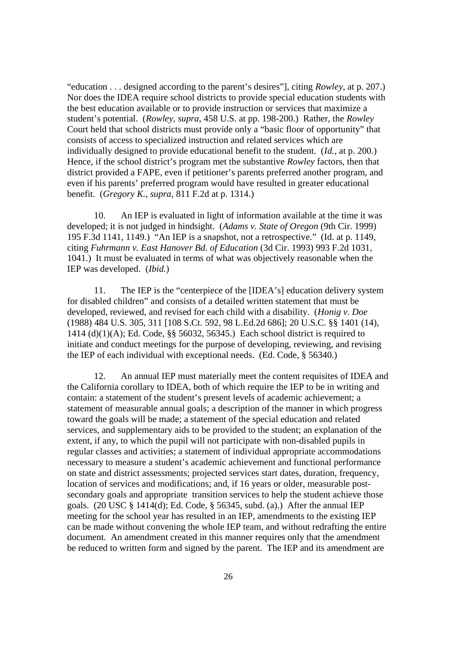"education . . . designed according to the parent's desires"], citing *Rowley,* at p. 207.) Nor does the IDEA require school districts to provide special education students with the best education available or to provide instruction or services that maximize a student's potential. (*Rowley, supra,* 458 U.S. at pp. 198-200.) Rather, the *Rowley* Court held that school districts must provide only a "basic floor of opportunity" that consists of access to specialized instruction and related services which are individually designed to provide educational benefit to the student. (*Id.,* at p. 200.) Hence, if the school district's program met the substantive *Rowley* factors, then that district provided a FAPE, even if petitioner's parents preferred another program, and even if his parents' preferred program would have resulted in greater educational benefit. (*Gregory K., supra,* 811 F.2d at p. 1314.)

10. An IEP is evaluated in light of information available at the time it was developed; it is not judged in hindsight. (*Adams v. State of Oregon* (9th Cir. 1999) 195 F.3d 1141, 1149.) "An IEP is a snapshot, not a retrospective." (Id. at p. 1149, citing *Fuhrmann v. East Hanover Bd. of Education* (3d Cir. 1993) 993 F.2d 1031, 1041.) It must be evaluated in terms of what was objectively reasonable when the IEP was developed. (*Ibid.*)

11. The IEP is the "centerpiece of the [IDEA's] education delivery system for disabled children" and consists of a detailed written statement that must be developed, reviewed, and revised for each child with a disability. (*Honig v. Doe* (1988) 484 U.S. 305, 311 [108 S.Ct. 592, 98 L.Ed.2d 686]; 20 U.S.C. §§ 1401 (14), 1414 (d)(1)(A); Ed. Code, §§ 56032, 56345.) Each school district is required to initiate and conduct meetings for the purpose of developing, reviewing, and revising the IEP of each individual with exceptional needs. (Ed. Code, § 56340.)

12. An annual IEP must materially meet the content requisites of IDEA and the California corollary to IDEA, both of which require the IEP to be in writing and contain: a statement of the student's present levels of academic achievement; a statement of measurable annual goals; a description of the manner in which progress toward the goals will be made; a statement of the special education and related services, and supplementary aids to be provided to the student; an explanation of the extent, if any, to which the pupil will not participate with non-disabled pupils in regular classes and activities; a statement of individual appropriate accommodations necessary to measure a student's academic achievement and functional performance on state and district assessments; projected services start dates, duration, frequency, location of services and modifications; and, if 16 years or older, measurable postsecondary goals and appropriate transition services to help the student achieve those goals. (20 USC § 1414(d); Ed. Code, § 56345, subd. (a).) After the annual IEP meeting for the school year has resulted in an IEP, amendments to the existing IEP can be made without convening the whole IEP team, and without redrafting the entire document. An amendment created in this manner requires only that the amendment be reduced to written form and signed by the parent. The IEP and its amendment are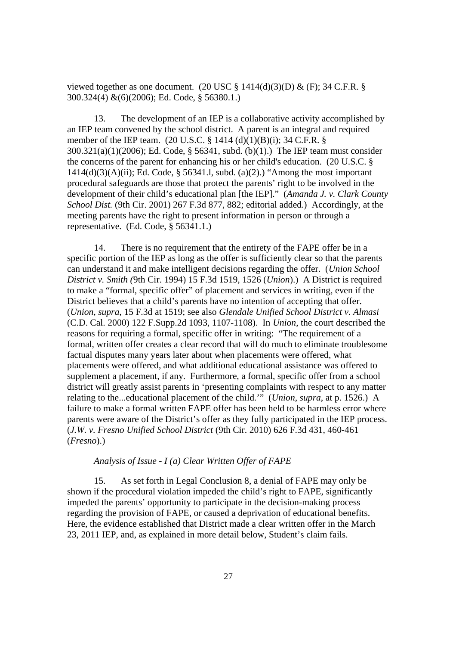viewed together as one document. (20 USC  $\S$  1414(d)(3)(D) & (F); 34 C.F.R.  $\S$ 300.324(4) &(6)(2006); Ed. Code, § 56380.1.)

13. The development of an IEP is a collaborative activity accomplished by an IEP team convened by the school district. A parent is an integral and required member of the IEP team. (20 U.S.C. § 1414 (d)(1)(B)(i); 34 C.F.R. § 300.321(a)(1)(2006); Ed. Code, § 56341, subd. (b)(1).) The IEP team must consider the concerns of the parent for enhancing his or her child's education. (20 U.S.C. §  $1414(d)(3)(A)(ii)$ ; Ed. Code, § 56341.1, subd. (a)(2).) "Among the most important procedural safeguards are those that protect the parents' right to be involved in the development of their child's educational plan [the IEP]." (*Amanda J. v. Clark County School Dist.* (9th Cir. 2001) 267 F.3d 877, 882; editorial added.) Accordingly, at the meeting parents have the right to present information in person or through a representative. (Ed. Code, § 56341.1.)

14. There is no requirement that the entirety of the FAPE offer be in a specific portion of the IEP as long as the offer is sufficiently clear so that the parents can understand it and make intelligent decisions regarding the offer. (*Union School District v. Smith (*9th Cir. 1994) 15 F.3d 1519, 1526 (*Union*).) A District is required to make a "formal, specific offer" of placement and services in writing, even if the District believes that a child's parents have no intention of accepting that offer. (*Union*, *supra*, 15 F.3d at 1519; see also *Glendale Unified School District v. Almasi* (C.D. Cal. 2000) 122 F.Supp.2d 1093, 1107-1108). In *Union*, the court described the reasons for requiring a formal, specific offer in writing: "The requirement of a formal, written offer creates a clear record that will do much to eliminate troublesome factual disputes many years later about when placements were offered, what placements were offered, and what additional educational assistance was offered to supplement a placement, if any. Furthermore, a formal, specific offer from a school district will greatly assist parents in 'presenting complaints with respect to any matter relating to the...educational placement of the child.'" (*Union*, *supra*, at p. 1526.) A failure to make a formal written FAPE offer has been held to be harmless error where parents were aware of the District's offer as they fully participated in the IEP process. (*J.W. v. Fresno Unified School District* (9th Cir. 2010) 626 F.3d 431, 460-461 (*Fresno*).)

# *Analysis of Issue - I (a) Clear Written Offer of FAPE*

15. As set forth in Legal Conclusion 8, a denial of FAPE may only be shown if the procedural violation impeded the child's right to FAPE, significantly impeded the parents' opportunity to participate in the decision-making process regarding the provision of FAPE, or caused a deprivation of educational benefits. Here, the evidence established that District made a clear written offer in the March 23, 2011 IEP, and, as explained in more detail below, Student's claim fails.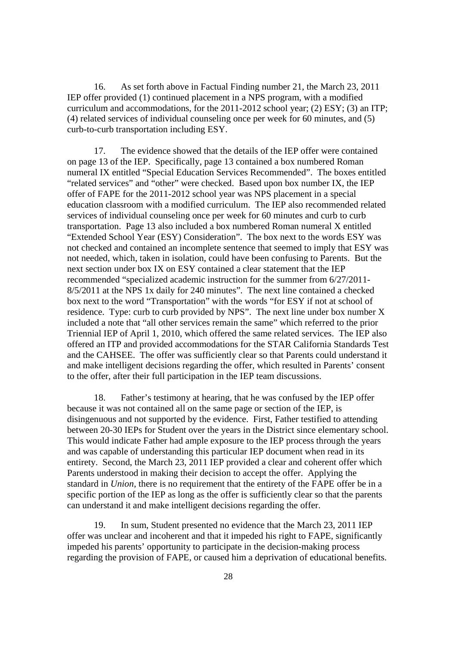16. As set forth above in Factual Finding number 21, the March 23, 2011 IEP offer provided (1) continued placement in a NPS program, with a modified curriculum and accommodations, for the 2011-2012 school year; (2) ESY; (3) an ITP; (4) related services of individual counseling once per week for 60 minutes, and (5) curb-to-curb transportation including ESY.

17. The evidence showed that the details of the IEP offer were contained on page 13 of the IEP. Specifically, page 13 contained a box numbered Roman numeral IX entitled "Special Education Services Recommended". The boxes entitled "related services" and "other" were checked. Based upon box number IX, the IEP offer of FAPE for the 2011-2012 school year was NPS placement in a special education classroom with a modified curriculum. The IEP also recommended related services of individual counseling once per week for 60 minutes and curb to curb transportation. Page 13 also included a box numbered Roman numeral X entitled "Extended School Year (ESY) Consideration". The box next to the words ESY was not checked and contained an incomplete sentence that seemed to imply that ESY was not needed, which, taken in isolation, could have been confusing to Parents. But the next section under box IX on ESY contained a clear statement that the IEP recommended "specialized academic instruction for the summer from 6/27/2011- 8/5/2011 at the NPS 1x daily for 240 minutes". The next line contained a checked box next to the word "Transportation" with the words "for ESY if not at school of residence. Type: curb to curb provided by NPS". The next line under box number X included a note that "all other services remain the same" which referred to the prior Triennial IEP of April 1, 2010, which offered the same related services. The IEP also offered an ITP and provided accommodations for the STAR California Standards Test and the CAHSEE. The offer was sufficiently clear so that Parents could understand it and make intelligent decisions regarding the offer, which resulted in Parents' consent to the offer, after their full participation in the IEP team discussions.

18. Father's testimony at hearing, that he was confused by the IEP offer because it was not contained all on the same page or section of the IEP, is disingenuous and not supported by the evidence. First, Father testified to attending between 20-30 IEPs for Student over the years in the District since elementary school. This would indicate Father had ample exposure to the IEP process through the years and was capable of understanding this particular IEP document when read in its entirety. Second, the March 23, 2011 IEP provided a clear and coherent offer which Parents understood in making their decision to accept the offer. Applying the standard in *Union*, there is no requirement that the entirety of the FAPE offer be in a specific portion of the IEP as long as the offer is sufficiently clear so that the parents can understand it and make intelligent decisions regarding the offer.

19. In sum, Student presented no evidence that the March 23, 2011 IEP offer was unclear and incoherent and that it impeded his right to FAPE, significantly impeded his parents' opportunity to participate in the decision-making process regarding the provision of FAPE, or caused him a deprivation of educational benefits.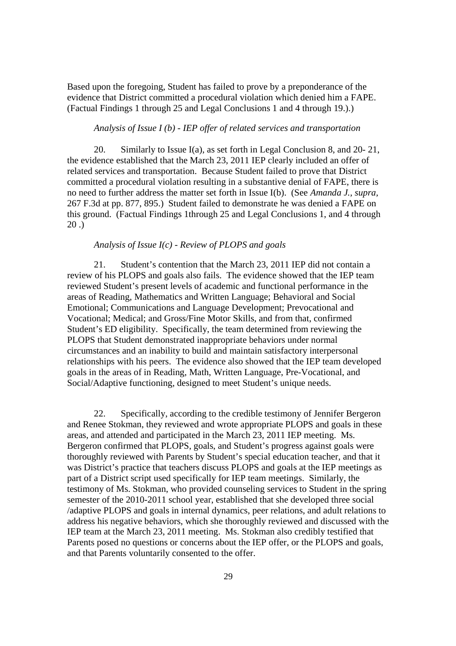Based upon the foregoing, Student has failed to prove by a preponderance of the evidence that District committed a procedural violation which denied him a FAPE. (Factual Findings 1 through 25 and Legal Conclusions 1 and 4 through 19.).)

# *Analysis of Issue I (b) - IEP offer of related services and transportation*

20. Similarly to Issue I(a), as set forth in Legal Conclusion 8, and 20-21, the evidence established that the March 23, 2011 IEP clearly included an offer of related services and transportation. Because Student failed to prove that District committed a procedural violation resulting in a substantive denial of FAPE, there is no need to further address the matter set forth in Issue I(b). (See *Amanda J., supra,* 267 F.3d at pp. 877, 895.) Student failed to demonstrate he was denied a FAPE on this ground. (Factual Findings 1through 25 and Legal Conclusions 1, and 4 through 20 .)

# *Analysis of Issue I(c) - Review of PLOPS and goals*

21. Student's contention that the March 23, 2011 IEP did not contain a review of his PLOPS and goals also fails. The evidence showed that the IEP team reviewed Student's present levels of academic and functional performance in the areas of Reading, Mathematics and Written Language; Behavioral and Social Emotional; Communications and Language Development; Prevocational and Vocational; Medical; and Gross/Fine Motor Skills, and from that, confirmed Student's ED eligibility. Specifically, the team determined from reviewing the PLOPS that Student demonstrated inappropriate behaviors under normal circumstances and an inability to build and maintain satisfactory interpersonal relationships with his peers. The evidence also showed that the IEP team developed goals in the areas of in Reading, Math, Written Language, Pre-Vocational, and Social/Adaptive functioning, designed to meet Student's unique needs.

22. Specifically, according to the credible testimony of Jennifer Bergeron and Renee Stokman, they reviewed and wrote appropriate PLOPS and goals in these areas, and attended and participated in the March 23, 2011 IEP meeting. Ms. Bergeron confirmed that PLOPS, goals, and Student's progress against goals were thoroughly reviewed with Parents by Student's special education teacher, and that it was District's practice that teachers discuss PLOPS and goals at the IEP meetings as part of a District script used specifically for IEP team meetings. Similarly, the testimony of Ms. Stokman, who provided counseling services to Student in the spring semester of the 2010-2011 school year, established that she developed three social /adaptive PLOPS and goals in internal dynamics, peer relations, and adult relations to address his negative behaviors, which she thoroughly reviewed and discussed with the IEP team at the March 23, 2011 meeting. Ms. Stokman also credibly testified that Parents posed no questions or concerns about the IEP offer, or the PLOPS and goals, and that Parents voluntarily consented to the offer.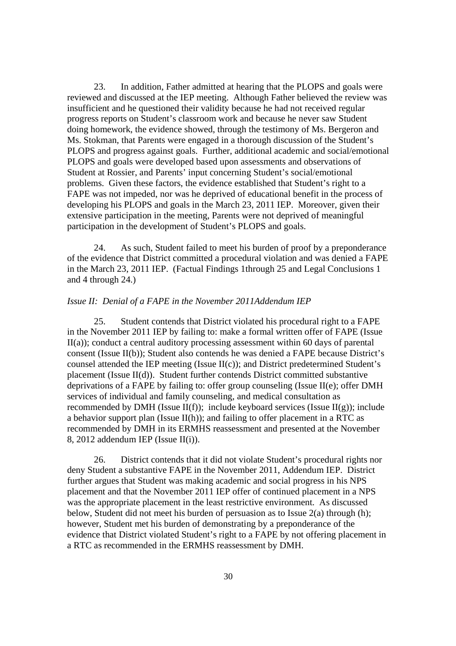23. In addition, Father admitted at hearing that the PLOPS and goals were reviewed and discussed at the IEP meeting. Although Father believed the review was insufficient and he questioned their validity because he had not received regular progress reports on Student's classroom work and because he never saw Student doing homework, the evidence showed, through the testimony of Ms. Bergeron and Ms. Stokman, that Parents were engaged in a thorough discussion of the Student's PLOPS and progress against goals. Further, additional academic and social/emotional PLOPS and goals were developed based upon assessments and observations of Student at Rossier, and Parents' input concerning Student's social/emotional problems. Given these factors, the evidence established that Student's right to a FAPE was not impeded, nor was he deprived of educational benefit in the process of developing his PLOPS and goals in the March 23, 2011 IEP. Moreover, given their extensive participation in the meeting, Parents were not deprived of meaningful participation in the development of Student's PLOPS and goals.

24. As such, Student failed to meet his burden of proof by a preponderance of the evidence that District committed a procedural violation and was denied a FAPE in the March 23, 2011 IEP. (Factual Findings 1through 25 and Legal Conclusions 1 and 4 through 24.)

### *Issue II: Denial of a FAPE in the November 2011Addendum IEP*

25. Student contends that District violated his procedural right to a FAPE in the November 2011 IEP by failing to: make a formal written offer of FAPE (Issue II(a)); conduct a central auditory processing assessment within 60 days of parental consent (Issue II(b)); Student also contends he was denied a FAPE because District's counsel attended the IEP meeting (Issue  $II(c)$ ); and District predetermined Student's placement (Issue II(d)). Student further contends District committed substantive deprivations of a FAPE by failing to: offer group counseling (Issue II(e); offer DMH services of individual and family counseling, and medical consultation as recommended by DMH (Issue  $II(f)$ ); include keyboard services (Issue  $II(g)$ ); include a behavior support plan (Issue II(h)); and failing to offer placement in a RTC as recommended by DMH in its ERMHS reassessment and presented at the November 8, 2012 addendum IEP (Issue II(i)).

26. District contends that it did not violate Student's procedural rights nor deny Student a substantive FAPE in the November 2011, Addendum IEP. District further argues that Student was making academic and social progress in his NPS placement and that the November 2011 IEP offer of continued placement in a NPS was the appropriate placement in the least restrictive environment. As discussed below, Student did not meet his burden of persuasion as to Issue 2(a) through (h); however, Student met his burden of demonstrating by a preponderance of the evidence that District violated Student's right to a FAPE by not offering placement in a RTC as recommended in the ERMHS reassessment by DMH.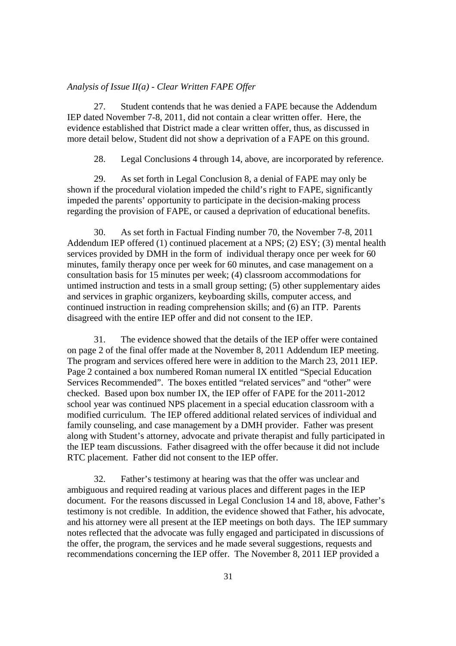### *Analysis of Issue II(a) - Clear Written FAPE Offer*

27. Student contends that he was denied a FAPE because the Addendum IEP dated November 7-8, 2011, did not contain a clear written offer. Here, the evidence established that District made a clear written offer, thus, as discussed in more detail below, Student did not show a deprivation of a FAPE on this ground.

28. Legal Conclusions 4 through 14, above, are incorporated by reference.

29. As set forth in Legal Conclusion 8, a denial of FAPE may only be shown if the procedural violation impeded the child's right to FAPE, significantly impeded the parents' opportunity to participate in the decision-making process regarding the provision of FAPE, or caused a deprivation of educational benefits.

30. As set forth in Factual Finding number 70, the November 7-8, 2011 Addendum IEP offered (1) continued placement at a NPS; (2) ESY; (3) mental health services provided by DMH in the form of individual therapy once per week for 60 minutes, family therapy once per week for 60 minutes, and case management on a consultation basis for 15 minutes per week; (4) classroom accommodations for untimed instruction and tests in a small group setting; (5) other supplementary aides and services in graphic organizers, keyboarding skills, computer access, and continued instruction in reading comprehension skills; and (6) an ITP. Parents disagreed with the entire IEP offer and did not consent to the IEP.

31. The evidence showed that the details of the IEP offer were contained on page 2 of the final offer made at the November 8, 2011 Addendum IEP meeting. The program and services offered here were in addition to the March 23, 2011 IEP. Page 2 contained a box numbered Roman numeral IX entitled "Special Education Services Recommended". The boxes entitled "related services" and "other" were checked. Based upon box number IX, the IEP offer of FAPE for the 2011-2012 school year was continued NPS placement in a special education classroom with a modified curriculum. The IEP offered additional related services of individual and family counseling, and case management by a DMH provider. Father was present along with Student's attorney, advocate and private therapist and fully participated in the IEP team discussions. Father disagreed with the offer because it did not include RTC placement. Father did not consent to the IEP offer.

32. Father's testimony at hearing was that the offer was unclear and ambiguous and required reading at various places and different pages in the IEP document. For the reasons discussed in Legal Conclusion 14 and 18, above, Father's testimony is not credible. In addition, the evidence showed that Father, his advocate, and his attorney were all present at the IEP meetings on both days. The IEP summary notes reflected that the advocate was fully engaged and participated in discussions of the offer, the program, the services and he made several suggestions, requests and recommendations concerning the IEP offer. The November 8, 2011 IEP provided a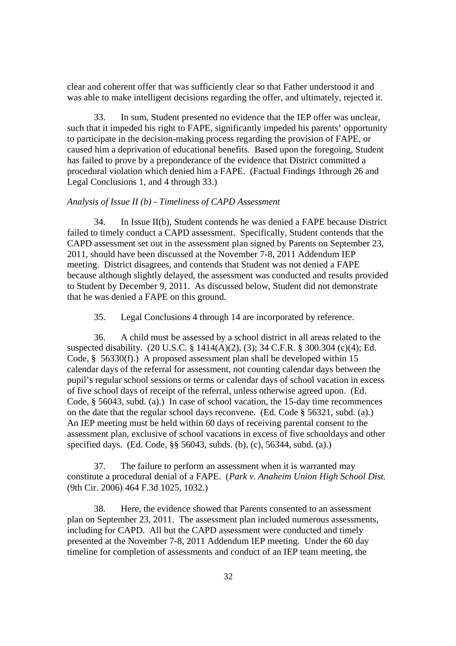clear and coherent offer that was sufficiently clear so that Father understood it and was able to make intelligent decisions regarding the offer, and ultimately, rejected it.

33. In sum, Student presented no evidence that the IEP offer was unclear, such that it impeded his right to FAPE, significantly impeded his parents' opportunity to participate in the decision-making process regarding the provision of FAPE, or caused him a deprivation of educational benefits. Based upon the foregoing, Student has failed to prove by a preponderance of the evidence that District committed a procedural violation which denied him a FAPE. (Factual Findings 1through 26 and Legal Conclusions 1, and 4 through 33.)

## *Analysis of Issue II (b) - Timeliness of CAPD Assessment*

34. In Issue II(b), Student contends he was denied a FAPE because District failed to timely conduct a CAPD assessment. Specifically, Student contends that the CAPD assessment set out in the assessment plan signed by Parents on September 23, 2011, should have been discussed at the November 7-8, 2011 Addendum IEP meeting. District disagrees, and contends that Student was not denied a FAPE because although slightly delayed, the assessment was conducted and results provided to Student by December 9, 2011. As discussed below, Student did not demonstrate that he was denied a FAPE on this ground.

35. Legal Conclusions 4 through 14 are incorporated by reference.

36. A child must be assessed by a school district in all areas related to the suspected disability. (20 U.S.C. § 1414(A)(2), (3); 34 C.F.R. § 300.304 (c)(4); Ed. Code, § 56330(f).) A proposed assessment plan shall be developed within 15 calendar days of the referral for assessment, not counting calendar days between the pupil's regular school sessions or terms or calendar days of school vacation in excess of five school days of receipt of the referral, unless otherwise agreed upon. (Ed. Code, § 56043, subd. (a).) In case of school vacation, the 15-day time recommences on the date that the regular school days reconvene. (Ed. Code § 56321, subd. (a).) An IEP meeting must be held within 60 days of receiving parental consent to the assessment plan, exclusive of school vacations in excess of five schooldays and other specified days. (Ed. Code, §§ 56043, subds. (b), (c), 56344, subd. (a).)

37. The failure to perform an assessment when it is warranted may constitute a procedural denial of a FAPE. (*Park v. Anaheim Union High School Dist.* (9th Cir. 2006) 464 F.3d 1025, 1032.)

38. Here, the evidence showed that Parents consented to an assessment plan on September 23, 2011. The assessment plan included numerous assessments, including for CAPD. All but the CAPD assessment were conducted and timely presented at the November 7-8, 2011 Addendum IEP meeting. Under the 60 day timeline for completion of assessments and conduct of an IEP team meeting, the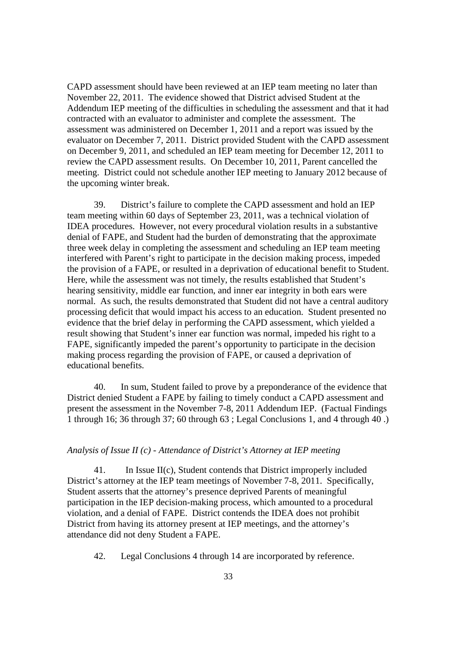CAPD assessment should have been reviewed at an IEP team meeting no later than November 22, 2011. The evidence showed that District advised Student at the Addendum IEP meeting of the difficulties in scheduling the assessment and that it had contracted with an evaluator to administer and complete the assessment. The assessment was administered on December 1, 2011 and a report was issued by the evaluator on December 7, 2011. District provided Student with the CAPD assessment on December 9, 2011, and scheduled an IEP team meeting for December 12, 2011 to review the CAPD assessment results. On December 10, 2011, Parent cancelled the meeting. District could not schedule another IEP meeting to January 2012 because of the upcoming winter break.

39. District's failure to complete the CAPD assessment and hold an IEP team meeting within 60 days of September 23, 2011, was a technical violation of IDEA procedures. However, not every procedural violation results in a substantive denial of FAPE, and Student had the burden of demonstrating that the approximate three week delay in completing the assessment and scheduling an IEP team meeting interfered with Parent's right to participate in the decision making process, impeded the provision of a FAPE, or resulted in a deprivation of educational benefit to Student. Here, while the assessment was not timely, the results established that Student's hearing sensitivity, middle ear function, and inner ear integrity in both ears were normal. As such, the results demonstrated that Student did not have a central auditory processing deficit that would impact his access to an education. Student presented no evidence that the brief delay in performing the CAPD assessment, which yielded a result showing that Student's inner ear function was normal, impeded his right to a FAPE, significantly impeded the parent's opportunity to participate in the decision making process regarding the provision of FAPE, or caused a deprivation of educational benefits.

40. In sum, Student failed to prove by a preponderance of the evidence that District denied Student a FAPE by failing to timely conduct a CAPD assessment and present the assessment in the November 7-8, 2011 Addendum IEP. (Factual Findings 1 through 16; 36 through 37; 60 through 63 ; Legal Conclusions 1, and 4 through 40 .)

### *Analysis of Issue II (c) - Attendance of District's Attorney at IEP meeting*

41. In Issue II(c), Student contends that District improperly included District's attorney at the IEP team meetings of November 7-8, 2011. Specifically, Student asserts that the attorney's presence deprived Parents of meaningful participation in the IEP decision-making process, which amounted to a procedural violation, and a denial of FAPE. District contends the IDEA does not prohibit District from having its attorney present at IEP meetings, and the attorney's attendance did not deny Student a FAPE.

42. Legal Conclusions 4 through 14 are incorporated by reference.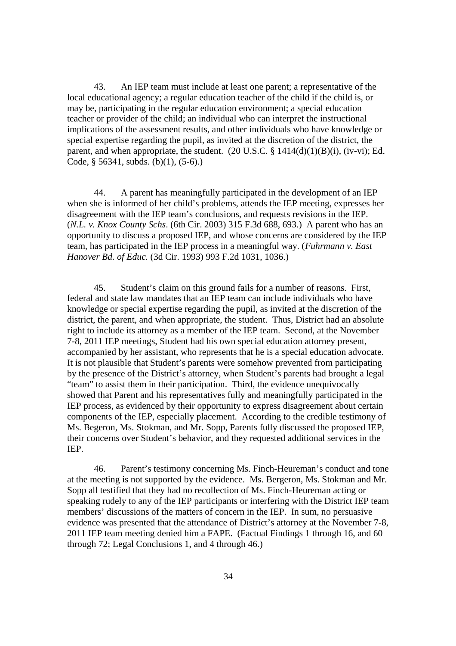43. An IEP team must include at least one parent; a representative of the local educational agency; a regular education teacher of the child if the child is, or may be, participating in the regular education environment; a special education teacher or provider of the child; an individual who can interpret the instructional implications of the assessment results, and other individuals who have knowledge or special expertise regarding the pupil, as invited at the discretion of the district, the parent, and when appropriate, the student.  $(20 \text{ U.S.C.} \S 1414(d)(1)(B)(i), (iv-vi); Ed.$ Code, § 56341, subds. (b)(1), (5-6).)

44. A parent has meaningfully participated in the development of an IEP when she is informed of her child's problems, attends the IEP meeting, expresses her disagreement with the IEP team's conclusions, and requests revisions in the IEP. (*N.L. v. Knox County Schs*. (6th Cir. 2003) 315 F.3d 688, 693.) A parent who has an opportunity to discuss a proposed IEP, and whose concerns are considered by the IEP team, has participated in the IEP process in a meaningful way. (*Fuhrmann v. East Hanover Bd. of Educ.* (3d Cir. 1993) 993 F.2d 1031, 1036.)

45. Student's claim on this ground fails for a number of reasons. First, federal and state law mandates that an IEP team can include individuals who have knowledge or special expertise regarding the pupil, as invited at the discretion of the district, the parent, and when appropriate, the student. Thus, District had an absolute right to include its attorney as a member of the IEP team. Second, at the November 7-8, 2011 IEP meetings, Student had his own special education attorney present, accompanied by her assistant, who represents that he is a special education advocate. It is not plausible that Student's parents were somehow prevented from participating by the presence of the District's attorney, when Student's parents had brought a legal "team" to assist them in their participation. Third, the evidence unequivocally showed that Parent and his representatives fully and meaningfully participated in the IEP process, as evidenced by their opportunity to express disagreement about certain components of the IEP, especially placement. According to the credible testimony of Ms. Begeron, Ms. Stokman, and Mr. Sopp, Parents fully discussed the proposed IEP, their concerns over Student's behavior, and they requested additional services in the IEP.

46. Parent's testimony concerning Ms. Finch-Heureman's conduct and tone at the meeting is not supported by the evidence. Ms. Bergeron, Ms. Stokman and Mr. Sopp all testified that they had no recollection of Ms. Finch-Heureman acting or speaking rudely to any of the IEP participants or interfering with the District IEP team members' discussions of the matters of concern in the IEP. In sum, no persuasive evidence was presented that the attendance of District's attorney at the November 7-8, 2011 IEP team meeting denied him a FAPE. (Factual Findings 1 through 16, and 60 through 72; Legal Conclusions 1, and 4 through 46.)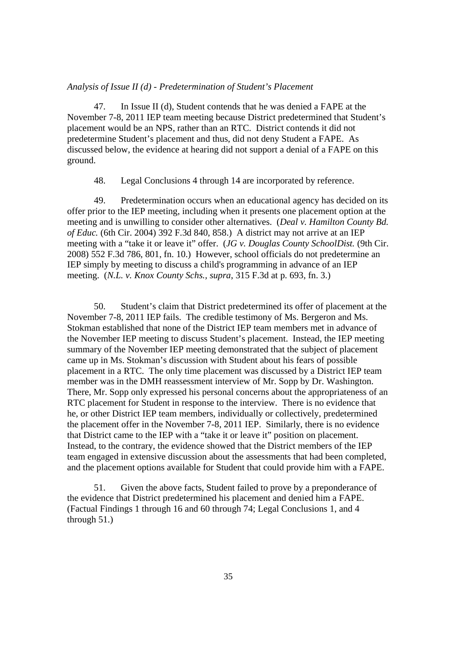### *Analysis of Issue II (d) - Predetermination of Student's Placement*

47. In Issue II (d), Student contends that he was denied a FAPE at the November 7-8, 2011 IEP team meeting because District predetermined that Student's placement would be an NPS, rather than an RTC. District contends it did not predetermine Student's placement and thus, did not deny Student a FAPE. As discussed below, the evidence at hearing did not support a denial of a FAPE on this ground.

48. Legal Conclusions 4 through 14 are incorporated by reference.

49. Predetermination occurs when an educational agency has decided on its offer prior to the IEP meeting, including when it presents one placement option at the meeting and is unwilling to consider other alternatives. (*Deal v. Hamilton County Bd. of Educ.* (6th Cir. 2004) 392 F.3d 840, 858.) A district may not arrive at an IEP meeting with a "take it or leave it" offer. (*JG v. Douglas County SchoolDist.* (9th Cir. 2008) 552 F.3d 786, 801, fn. 10.) However, school officials do not predetermine an IEP simply by meeting to discuss a child's programming in advance of an IEP meeting. (*N.L. v. Knox County Schs., supra*, 315 F.3d at p. 693, fn. 3.)

50. Student's claim that District predetermined its offer of placement at the November 7-8, 2011 IEP fails. The credible testimony of Ms. Bergeron and Ms. Stokman established that none of the District IEP team members met in advance of the November IEP meeting to discuss Student's placement. Instead, the IEP meeting summary of the November IEP meeting demonstrated that the subject of placement came up in Ms. Stokman's discussion with Student about his fears of possible placement in a RTC. The only time placement was discussed by a District IEP team member was in the DMH reassessment interview of Mr. Sopp by Dr. Washington. There, Mr. Sopp only expressed his personal concerns about the appropriateness of an RTC placement for Student in response to the interview. There is no evidence that he, or other District IEP team members, individually or collectively, predetermined the placement offer in the November 7-8, 2011 IEP. Similarly, there is no evidence that District came to the IEP with a "take it or leave it" position on placement. Instead, to the contrary, the evidence showed that the District members of the IEP team engaged in extensive discussion about the assessments that had been completed, and the placement options available for Student that could provide him with a FAPE.

51. Given the above facts, Student failed to prove by a preponderance of the evidence that District predetermined his placement and denied him a FAPE. (Factual Findings 1 through 16 and 60 through 74; Legal Conclusions 1, and 4 through 51.)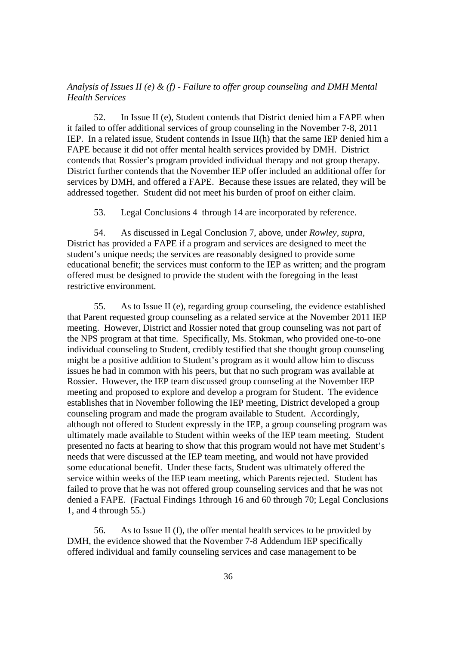# *Analysis of Issues II (e) & (f) - Failure to offer group counseling and DMH Mental Health Services*

52. In Issue II (e), Student contends that District denied him a FAPE when it failed to offer additional services of group counseling in the November 7-8, 2011 IEP. In a related issue, Student contends in Issue II(h) that the same IEP denied him a FAPE because it did not offer mental health services provided by DMH. District contends that Rossier's program provided individual therapy and not group therapy. District further contends that the November IEP offer included an additional offer for services by DMH, and offered a FAPE. Because these issues are related, they will be addressed together. Student did not meet his burden of proof on either claim.

53. Legal Conclusions 4 through 14 are incorporated by reference.

54. As discussed in Legal Conclusion 7, above, under *Rowley, supra,* District has provided a FAPE if a program and services are designed to meet the student's unique needs; the services are reasonably designed to provide some educational benefit; the services must conform to the IEP as written; and the program offered must be designed to provide the student with the foregoing in the least restrictive environment.

55. As to Issue II (e), regarding group counseling, the evidence established that Parent requested group counseling as a related service at the November 2011 IEP meeting. However, District and Rossier noted that group counseling was not part of the NPS program at that time. Specifically, Ms. Stokman, who provided one-to-one individual counseling to Student, credibly testified that she thought group counseling might be a positive addition to Student's program as it would allow him to discuss issues he had in common with his peers, but that no such program was available at Rossier. However, the IEP team discussed group counseling at the November IEP meeting and proposed to explore and develop a program for Student. The evidence establishes that in November following the IEP meeting, District developed a group counseling program and made the program available to Student. Accordingly, although not offered to Student expressly in the IEP, a group counseling program was ultimately made available to Student within weeks of the IEP team meeting. Student presented no facts at hearing to show that this program would not have met Student's needs that were discussed at the IEP team meeting, and would not have provided some educational benefit. Under these facts, Student was ultimately offered the service within weeks of the IEP team meeting, which Parents rejected. Student has failed to prove that he was not offered group counseling services and that he was not denied a FAPE. (Factual Findings 1through 16 and 60 through 70; Legal Conclusions 1, and 4 through 55.)

56. As to Issue II (f), the offer mental health services to be provided by DMH, the evidence showed that the November 7-8 Addendum IEP specifically offered individual and family counseling services and case management to be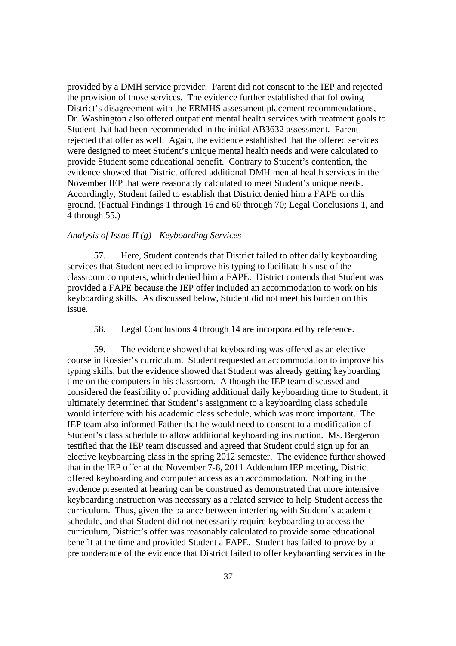provided by a DMH service provider. Parent did not consent to the IEP and rejected the provision of those services. The evidence further established that following District's disagreement with the ERMHS assessment placement recommendations, Dr. Washington also offered outpatient mental health services with treatment goals to Student that had been recommended in the initial AB3632 assessment. Parent rejected that offer as well. Again, the evidence established that the offered services were designed to meet Student's unique mental health needs and were calculated to provide Student some educational benefit. Contrary to Student's contention, the evidence showed that District offered additional DMH mental health services in the November IEP that were reasonably calculated to meet Student's unique needs. Accordingly, Student failed to establish that District denied him a FAPE on this ground. (Factual Findings 1 through 16 and 60 through 70; Legal Conclusions 1, and 4 through 55.)

## *Analysis of Issue II (g) - Keyboarding Services*

57. Here, Student contends that District failed to offer daily keyboarding services that Student needed to improve his typing to facilitate his use of the classroom computers, which denied him a FAPE. District contends that Student was provided a FAPE because the IEP offer included an accommodation to work on his keyboarding skills. As discussed below, Student did not meet his burden on this issue.

58. Legal Conclusions 4 through 14 are incorporated by reference.

59. The evidence showed that keyboarding was offered as an elective course in Rossier's curriculum. Student requested an accommodation to improve his typing skills, but the evidence showed that Student was already getting keyboarding time on the computers in his classroom. Although the IEP team discussed and considered the feasibility of providing additional daily keyboarding time to Student, it ultimately determined that Student's assignment to a keyboarding class schedule would interfere with his academic class schedule, which was more important. The IEP team also informed Father that he would need to consent to a modification of Student's class schedule to allow additional keyboarding instruction. Ms. Bergeron testified that the IEP team discussed and agreed that Student could sign up for an elective keyboarding class in the spring 2012 semester. The evidence further showed that in the IEP offer at the November 7-8, 2011 Addendum IEP meeting, District offered keyboarding and computer access as an accommodation. Nothing in the evidence presented at hearing can be construed as demonstrated that more intensive keyboarding instruction was necessary as a related service to help Student access the curriculum. Thus, given the balance between interfering with Student's academic schedule, and that Student did not necessarily require keyboarding to access the curriculum, District's offer was reasonably calculated to provide some educational benefit at the time and provided Student a FAPE. Student has failed to prove by a preponderance of the evidence that District failed to offer keyboarding services in the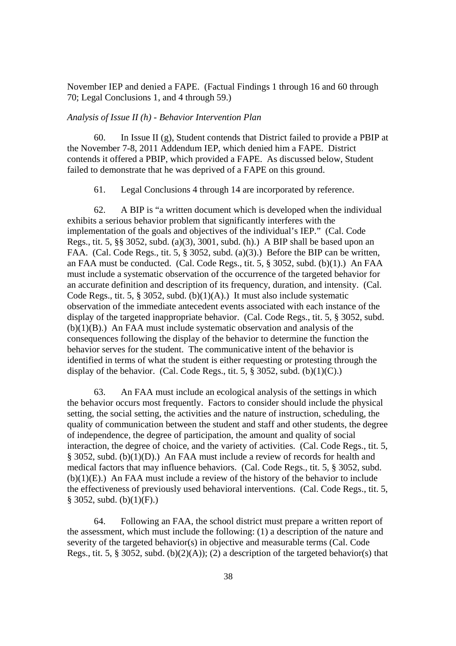November IEP and denied a FAPE. (Factual Findings 1 through 16 and 60 through 70; Legal Conclusions 1, and 4 through 59.)

### *Analysis of Issue II (h) - Behavior Intervention Plan*

60. In Issue II (g), Student contends that District failed to provide a PBIP at the November 7-8, 2011 Addendum IEP, which denied him a FAPE. District contends it offered a PBIP, which provided a FAPE. As discussed below, Student failed to demonstrate that he was deprived of a FAPE on this ground.

61. Legal Conclusions 4 through 14 are incorporated by reference.

62. A BIP is "a written document which is developed when the individual exhibits a serious behavior problem that significantly interferes with the implementation of the goals and objectives of the individual's IEP." (Cal. Code Regs., tit. 5, §§ 3052, subd. (a)(3), 3001, subd. (h).) A BIP shall be based upon an FAA. (Cal. Code Regs., tit. 5, § 3052, subd. (a)(3).) Before the BIP can be written, an FAA must be conducted. (Cal. Code Regs., tit. 5, § 3052, subd. (b)(1).) An FAA must include a systematic observation of the occurrence of the targeted behavior for an accurate definition and description of its frequency, duration, and intensity. (Cal. Code Regs., tit. 5, § 3052, subd. (b)(1)(A).) It must also include systematic observation of the immediate antecedent events associated with each instance of the display of the targeted inappropriate behavior. (Cal. Code Regs., tit. 5, § 3052, subd.  $(b)(1)(B)$ .) An FAA must include systematic observation and analysis of the consequences following the display of the behavior to determine the function the behavior serves for the student. The communicative intent of the behavior is identified in terms of what the student is either requesting or protesting through the display of the behavior. (Cal. Code Regs., tit. 5,  $\S 3052$ , subd. (b)(1)(C).)

63. An FAA must include an ecological analysis of the settings in which the behavior occurs most frequently. Factors to consider should include the physical setting, the social setting, the activities and the nature of instruction, scheduling, the quality of communication between the student and staff and other students, the degree of independence, the degree of participation, the amount and quality of social interaction, the degree of choice, and the variety of activities. (Cal. Code Regs., tit. 5, § 3052, subd. (b)(1)(D).) An FAA must include a review of records for health and medical factors that may influence behaviors. (Cal. Code Regs., tit. 5, § 3052, subd.  $(b)(1)(E)$ .) An FAA must include a review of the history of the behavior to include the effectiveness of previously used behavioral interventions. (Cal. Code Regs., tit. 5,  $§$  3052, subd. (b)(1)(F).)

64. Following an FAA, the school district must prepare a written report of the assessment, which must include the following: (1) a description of the nature and severity of the targeted behavior(s) in objective and measurable terms (Cal. Code Regs., tit. 5, § 3052, subd. (b)(2)(A)); (2) a description of the targeted behavior(s) that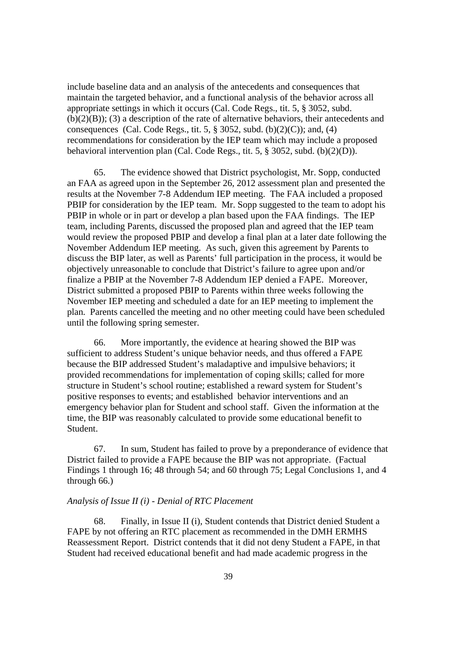include baseline data and an analysis of the antecedents and consequences that maintain the targeted behavior, and a functional analysis of the behavior across all appropriate settings in which it occurs (Cal. Code Regs., tit. 5, § 3052, subd.  $(b)(2)(B)$ ; (3) a description of the rate of alternative behaviors, their antecedents and consequences (Cal. Code Regs., tit. 5,  $\S 3052$ , subd. (b)(2)(C)); and, (4) recommendations for consideration by the IEP team which may include a proposed behavioral intervention plan (Cal. Code Regs., tit. 5, § 3052, subd. (b)(2)(D)).

65. The evidence showed that District psychologist, Mr. Sopp, conducted an FAA as agreed upon in the September 26, 2012 assessment plan and presented the results at the November 7-8 Addendum IEP meeting. The FAA included a proposed PBIP for consideration by the IEP team. Mr. Sopp suggested to the team to adopt his PBIP in whole or in part or develop a plan based upon the FAA findings. The IEP team, including Parents, discussed the proposed plan and agreed that the IEP team would review the proposed PBIP and develop a final plan at a later date following the November Addendum IEP meeting. As such, given this agreement by Parents to discuss the BIP later, as well as Parents' full participation in the process, it would be objectively unreasonable to conclude that District's failure to agree upon and/or finalize a PBIP at the November 7-8 Addendum IEP denied a FAPE. Moreover, District submitted a proposed PBIP to Parents within three weeks following the November IEP meeting and scheduled a date for an IEP meeting to implement the plan. Parents cancelled the meeting and no other meeting could have been scheduled until the following spring semester.

66. More importantly, the evidence at hearing showed the BIP was sufficient to address Student's unique behavior needs, and thus offered a FAPE because the BIP addressed Student's maladaptive and impulsive behaviors; it provided recommendations for implementation of coping skills; called for more structure in Student's school routine; established a reward system for Student's positive responses to events; and established behavior interventions and an emergency behavior plan for Student and school staff. Given the information at the time, the BIP was reasonably calculated to provide some educational benefit to Student.

67. In sum, Student has failed to prove by a preponderance of evidence that District failed to provide a FAPE because the BIP was not appropriate. (Factual Findings 1 through 16; 48 through 54; and 60 through 75; Legal Conclusions 1, and 4 through 66.)

# *Analysis of Issue II (i) - Denial of RTC Placement*

68. Finally, in Issue II (i), Student contends that District denied Student a FAPE by not offering an RTC placement as recommended in the DMH ERMHS Reassessment Report. District contends that it did not deny Student a FAPE, in that Student had received educational benefit and had made academic progress in the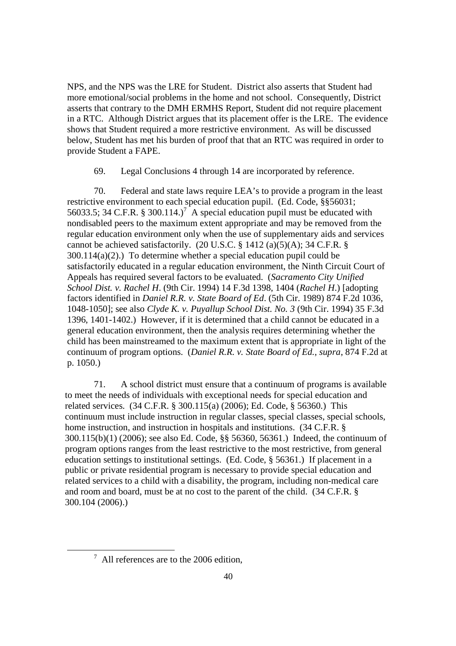NPS, and the NPS was the LRE for Student. District also asserts that Student had more emotional/social problems in the home and not school. Consequently, District asserts that contrary to the DMH ERMHS Report, Student did not require placement in a RTC. Although District argues that its placement offer is the LRE. The evidence shows that Student required a more restrictive environment. As will be discussed below, Student has met his burden of proof that that an RTC was required in order to provide Student a FAPE.

69. Legal Conclusions 4 through 14 are incorporated by reference.

70. Federal and state laws require LEA's to provide a program in the least restrictive environment to each special education pupil. (Ed. Code, §§56031; 56033.5; 34 C.F.R. § 300.114.)<sup>7</sup> A special education pupil must be educated with nondisabled peers to the maximum extent appropriate and may be removed from the regular education environment only when the use of supplementary aids and services cannot be achieved satisfactorily. (20 U.S.C.  $\S$  1412 (a)(5)(A); 34 C.F.R.  $\S$ 300.114(a)(2).) To determine whether a special education pupil could be satisfactorily educated in a regular education environment, the Ninth Circuit Court of Appeals has required several factors to be evaluated. (*Sacramento City Unified School Dist. v. Rachel H*. (9th Cir. 1994) 14 F.3d 1398, 1404 (*Rachel H*.) [adopting factors identified in *Daniel R.R. v. State Board of Ed*. (5th Cir. 1989) 874 F.2d 1036, 1048-1050]; see also *Clyde K. v. Puyallup School Dist. No. 3* (9th Cir. 1994) 35 F.3d 1396, 1401-1402.) However, if it is determined that a child cannot be educated in a general education environment, then the analysis requires determining whether the child has been mainstreamed to the maximum extent that is appropriate in light of the continuum of program options. (*Daniel R.R. v. State Board of Ed., supra*, 874 F.2d at p. 1050.)

71. A school district must ensure that a continuum of programs is available to meet the needs of individuals with exceptional needs for special education and related services. (34 C.F.R. § 300.115(a) (2006); Ed. Code, § 56360.) This continuum must include instruction in regular classes, special classes, special schools, home instruction, and instruction in hospitals and institutions. (34 C.F.R. § 300.115(b)(1) (2006); see also Ed. Code, §§ 56360, 56361.) Indeed, the continuum of program options ranges from the least restrictive to the most restrictive, from general education settings to institutional settings. (Ed. Code, § 56361.) If placement in a public or private residential program is necessary to provide special education and related services to a child with a disability, the program, including non-medical care and room and board, must be at no cost to the parent of the child. (34 C.F.R. § 300.104 (2006).)

 $^7$  All references are to the 2006 edition,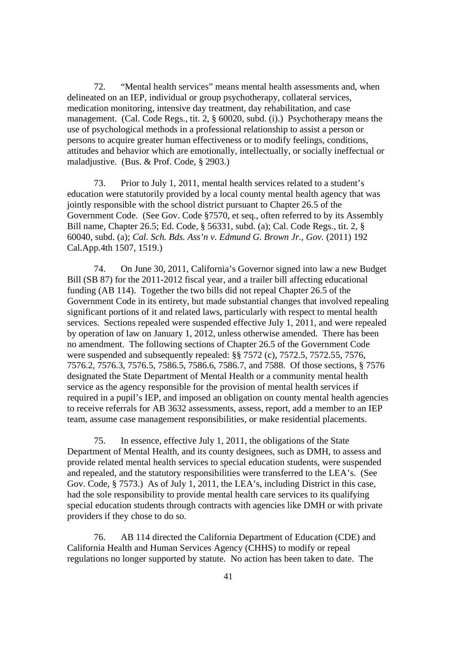72. "Mental health services" means mental health assessments and, when delineated on an IEP, individual or group psychotherapy, collateral services, medication monitoring, intensive day treatment, day rehabilitation, and case management. (Cal. Code Regs., tit. 2, § 60020, subd. (i).) Psychotherapy means the use of psychological methods in a professional relationship to assist a person or persons to acquire greater human effectiveness or to modify feelings, conditions, attitudes and behavior which are emotionally, intellectually, or socially ineffectual or maladjustive. (Bus. & Prof. Code, § 2903.)

73. Prior to July 1, 2011, mental health services related to a student's education were statutorily provided by a local county mental health agency that was jointly responsible with the school district pursuant to Chapter 26.5 of the Government Code. (See Gov. Code §7570, et seq., often referred to by its Assembly Bill name, Chapter 26.5; Ed. Code, § 56331, subd. (a); Cal. Code Regs., tit. 2, § 60040, subd. (a); *Cal. Sch. Bds. Ass'n v. Edmund G. Brown Jr., Gov.* (2011) 192 Cal.App.4th 1507, 1519.)

74. On June 30, 2011, California's Governor signed into law a new Budget Bill (SB 87) for the 2011-2012 fiscal year, and a trailer bill affecting educational funding (AB 114). Together the two bills did not repeal Chapter 26.5 of the Government Code in its entirety, but made substantial changes that involved repealing significant portions of it and related laws, particularly with respect to mental health services. Sections repealed were suspended effective July 1, 2011, and were repealed by operation of law on January 1, 2012, unless otherwise amended. There has been no amendment. The following sections of Chapter 26.5 of the Government Code were suspended and subsequently repealed: §§ 7572 (c), 7572.5, 7572.55, 7576, 7576.2, 7576.3, 7576.5, 7586.5, 7586.6, 7586.7, and 7588. Of those sections, § 7576 designated the State Department of Mental Health or a community mental health service as the agency responsible for the provision of mental health services if required in a pupil's IEP, and imposed an obligation on county mental health agencies to receive referrals for AB 3632 assessments, assess, report, add a member to an IEP team, assume case management responsibilities, or make residential placements.

75. In essence, effective July 1, 2011, the obligations of the State Department of Mental Health, and its county designees, such as DMH, to assess and provide related mental health services to special education students, were suspended and repealed, and the statutory responsibilities were transferred to the LEA's. (See Gov. Code, § 7573.) As of July 1, 2011, the LEA's, including District in this case, had the sole responsibility to provide mental health care services to its qualifying special education students through contracts with agencies like DMH or with private providers if they chose to do so.

76. AB 114 directed the California Department of Education (CDE) and California Health and Human Services Agency (CHHS) to modify or repeal regulations no longer supported by statute. No action has been taken to date. The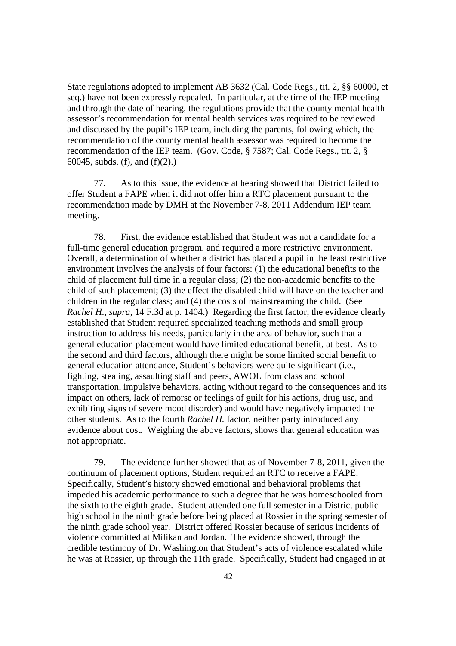State regulations adopted to implement AB 3632 (Cal. Code Regs., tit. 2, §§ 60000, et seq.) have not been expressly repealed. In particular, at the time of the IEP meeting and through the date of hearing, the regulations provide that the county mental health assessor's recommendation for mental health services was required to be reviewed and discussed by the pupil's IEP team, including the parents, following which, the recommendation of the county mental health assessor was required to become the recommendation of the IEP team. (Gov. Code, § 7587; Cal. Code Regs., tit. 2, § 60045, subds. (f), and (f)(2).)

77. As to this issue, the evidence at hearing showed that District failed to offer Student a FAPE when it did not offer him a RTC placement pursuant to the recommendation made by DMH at the November 7-8, 2011 Addendum IEP team meeting.

78. First, the evidence established that Student was not a candidate for a full-time general education program, and required a more restrictive environment. Overall, a determination of whether a district has placed a pupil in the least restrictive environment involves the analysis of four factors: (1) the educational benefits to the child of placement full time in a regular class; (2) the non-academic benefits to the child of such placement; (3) the effect the disabled child will have on the teacher and children in the regular class; and (4) the costs of mainstreaming the child. (See *Rachel H., supra,* 14 F.3d at p. 1404.) Regarding the first factor, the evidence clearly established that Student required specialized teaching methods and small group instruction to address his needs, particularly in the area of behavior, such that a general education placement would have limited educational benefit, at best. As to the second and third factors, although there might be some limited social benefit to general education attendance, Student's behaviors were quite significant (i.e., fighting, stealing, assaulting staff and peers, AWOL from class and school transportation, impulsive behaviors, acting without regard to the consequences and its impact on others, lack of remorse or feelings of guilt for his actions, drug use, and exhibiting signs of severe mood disorder) and would have negatively impacted the other students. As to the fourth *Rachel H.* factor, neither party introduced any evidence about cost. Weighing the above factors, shows that general education was not appropriate.

79. The evidence further showed that as of November 7-8, 2011, given the continuum of placement options, Student required an RTC to receive a FAPE. Specifically, Student's history showed emotional and behavioral problems that impeded his academic performance to such a degree that he was homeschooled from the sixth to the eighth grade. Student attended one full semester in a District public high school in the ninth grade before being placed at Rossier in the spring semester of the ninth grade school year. District offered Rossier because of serious incidents of violence committed at Milikan and Jordan. The evidence showed, through the credible testimony of Dr. Washington that Student's acts of violence escalated while he was at Rossier, up through the 11th grade. Specifically, Student had engaged in at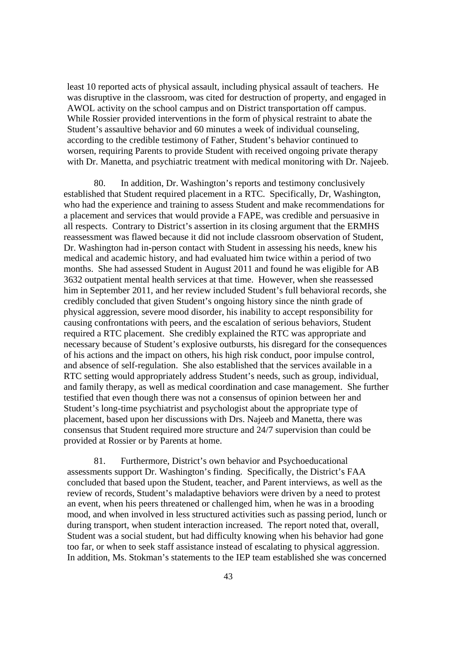least 10 reported acts of physical assault, including physical assault of teachers. He was disruptive in the classroom, was cited for destruction of property, and engaged in AWOL activity on the school campus and on District transportation off campus. While Rossier provided interventions in the form of physical restraint to abate the Student's assaultive behavior and 60 minutes a week of individual counseling, according to the credible testimony of Father, Student's behavior continued to worsen, requiring Parents to provide Student with received ongoing private therapy with Dr. Manetta, and psychiatric treatment with medical monitoring with Dr. Najeeb.

80. In addition, Dr. Washington's reports and testimony conclusively established that Student required placement in a RTC. Specifically, Dr, Washington, who had the experience and training to assess Student and make recommendations for a placement and services that would provide a FAPE, was credible and persuasive in all respects. Contrary to District's assertion in its closing argument that the ERMHS reassessment was flawed because it did not include classroom observation of Student, Dr. Washington had in-person contact with Student in assessing his needs, knew his medical and academic history, and had evaluated him twice within a period of two months. She had assessed Student in August 2011 and found he was eligible for AB 3632 outpatient mental health services at that time. However, when she reassessed him in September 2011, and her review included Student's full behavioral records, she credibly concluded that given Student's ongoing history since the ninth grade of physical aggression, severe mood disorder, his inability to accept responsibility for causing confrontations with peers, and the escalation of serious behaviors, Student required a RTC placement. She credibly explained the RTC was appropriate and necessary because of Student's explosive outbursts, his disregard for the consequences of his actions and the impact on others, his high risk conduct, poor impulse control, and absence of self-regulation. She also established that the services available in a RTC setting would appropriately address Student's needs, such as group, individual, and family therapy, as well as medical coordination and case management. She further testified that even though there was not a consensus of opinion between her and Student's long-time psychiatrist and psychologist about the appropriate type of placement, based upon her discussions with Drs. Najeeb and Manetta, there was consensus that Student required more structure and 24/7 supervision than could be provided at Rossier or by Parents at home.

81. Furthermore, District's own behavior and Psychoeducational assessments support Dr. Washington's finding. Specifically, the District's FAA concluded that based upon the Student, teacher, and Parent interviews, as well as the review of records, Student's maladaptive behaviors were driven by a need to protest an event, when his peers threatened or challenged him, when he was in a brooding mood, and when involved in less structured activities such as passing period, lunch or during transport, when student interaction increased. The report noted that, overall, Student was a social student, but had difficulty knowing when his behavior had gone too far, or when to seek staff assistance instead of escalating to physical aggression. In addition, Ms. Stokman's statements to the IEP team established she was concerned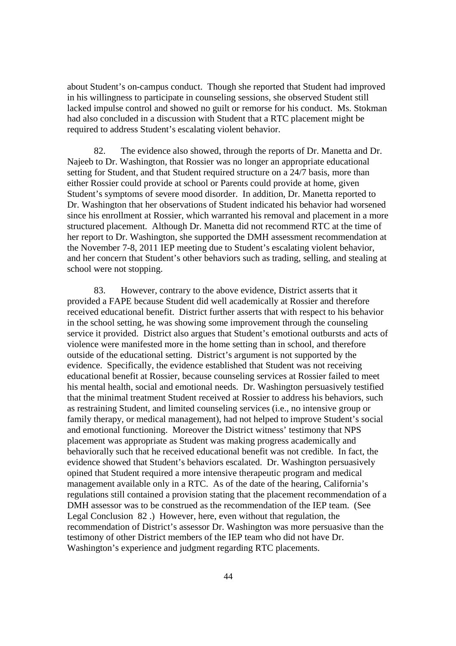about Student's on-campus conduct. Though she reported that Student had improved in his willingness to participate in counseling sessions, she observed Student still lacked impulse control and showed no guilt or remorse for his conduct. Ms. Stokman had also concluded in a discussion with Student that a RTC placement might be required to address Student's escalating violent behavior.

82. The evidence also showed, through the reports of Dr. Manetta and Dr. Najeeb to Dr. Washington, that Rossier was no longer an appropriate educational setting for Student, and that Student required structure on a 24/7 basis, more than either Rossier could provide at school or Parents could provide at home, given Student's symptoms of severe mood disorder. In addition, Dr. Manetta reported to Dr. Washington that her observations of Student indicated his behavior had worsened since his enrollment at Rossier, which warranted his removal and placement in a more structured placement. Although Dr. Manetta did not recommend RTC at the time of her report to Dr. Washington, she supported the DMH assessment recommendation at the November 7-8, 2011 IEP meeting due to Student's escalating violent behavior, and her concern that Student's other behaviors such as trading, selling, and stealing at school were not stopping.

83. However, contrary to the above evidence, District asserts that it provided a FAPE because Student did well academically at Rossier and therefore received educational benefit. District further asserts that with respect to his behavior in the school setting, he was showing some improvement through the counseling service it provided. District also argues that Student's emotional outbursts and acts of violence were manifested more in the home setting than in school, and therefore outside of the educational setting. District's argument is not supported by the evidence. Specifically, the evidence established that Student was not receiving educational benefit at Rossier, because counseling services at Rossier failed to meet his mental health, social and emotional needs. Dr. Washington persuasively testified that the minimal treatment Student received at Rossier to address his behaviors, such as restraining Student, and limited counseling services (i.e., no intensive group or family therapy, or medical management), had not helped to improve Student's social and emotional functioning. Moreover the District witness' testimony that NPS placement was appropriate as Student was making progress academically and behaviorally such that he received educational benefit was not credible. In fact, the evidence showed that Student's behaviors escalated. Dr. Washington persuasively opined that Student required a more intensive therapeutic program and medical management available only in a RTC. As of the date of the hearing, California's regulations still contained a provision stating that the placement recommendation of a DMH assessor was to be construed as the recommendation of the IEP team. (See Legal Conclusion 82 .) However, here, even without that regulation, the recommendation of District's assessor Dr. Washington was more persuasive than the testimony of other District members of the IEP team who did not have Dr. Washington's experience and judgment regarding RTC placements.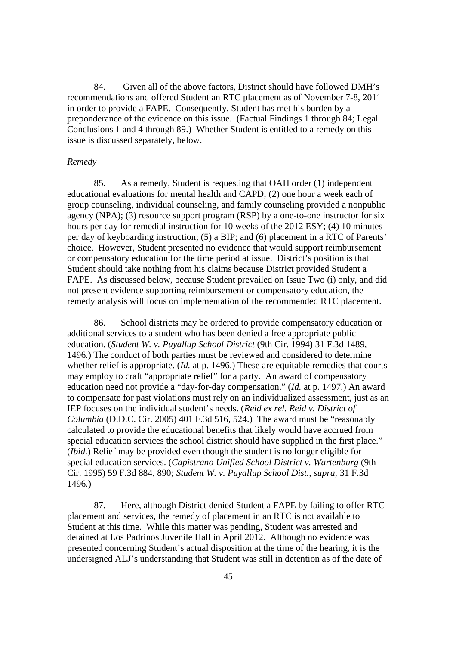84. Given all of the above factors, District should have followed DMH's recommendations and offered Student an RTC placement as of November 7-8, 2011 in order to provide a FAPE. Consequently, Student has met his burden by a preponderance of the evidence on this issue. (Factual Findings 1 through 84; Legal Conclusions 1 and 4 through 89.) Whether Student is entitled to a remedy on this issue is discussed separately, below.

#### *Remedy*

85. As a remedy, Student is requesting that OAH order (1) independent educational evaluations for mental health and CAPD; (2) one hour a week each of group counseling, individual counseling, and family counseling provided a nonpublic agency (NPA); (3) resource support program (RSP) by a one-to-one instructor for six hours per day for remedial instruction for 10 weeks of the 2012 ESY; (4) 10 minutes per day of keyboarding instruction; (5) a BIP; and (6) placement in a RTC of Parents' choice. However, Student presented no evidence that would support reimbursement or compensatory education for the time period at issue. District's position is that Student should take nothing from his claims because District provided Student a FAPE. As discussed below, because Student prevailed on Issue Two (i) only, and did not present evidence supporting reimbursement or compensatory education, the remedy analysis will focus on implementation of the recommended RTC placement.

86. School districts may be ordered to provide compensatory education or additional services to a student who has been denied a free appropriate public education. (*Student W. v. Puyallup School District* (9th Cir. 1994) 31 F.3d 1489, 1496.) The conduct of both parties must be reviewed and considered to determine whether relief is appropriate. (*Id.* at p. 1496.) These are equitable remedies that courts may employ to craft "appropriate relief" for a party. An award of compensatory education need not provide a "day-for-day compensation." (*Id.* at p. 1497.) An award to compensate for past violations must rely on an individualized assessment, just as an IEP focuses on the individual student's needs. (*Reid ex rel. Reid v. District of Columbia* (D.D.C. Cir. 2005) 401 F.3d 516, 524.) The award must be "reasonably calculated to provide the educational benefits that likely would have accrued from special education services the school district should have supplied in the first place." (*Ibid.*) Relief may be provided even though the student is no longer eligible for special education services. (*Capistrano Unified School District v. Wartenburg* (9th Cir. 1995) 59 F.3d 884, 890; *Student W. v. Puyallup School Dist., supra,* 31 F.3d 1496.)

87. Here, although District denied Student a FAPE by failing to offer RTC placement and services, the remedy of placement in an RTC is not available to Student at this time. While this matter was pending, Student was arrested and detained at Los Padrinos Juvenile Hall in April 2012. Although no evidence was presented concerning Student's actual disposition at the time of the hearing, it is the undersigned ALJ's understanding that Student was still in detention as of the date of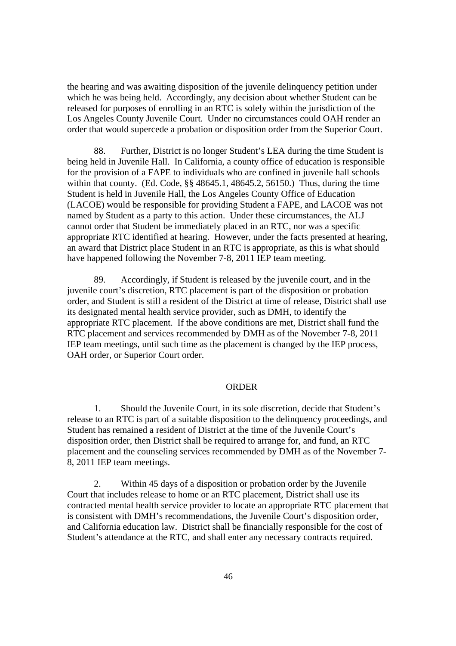the hearing and was awaiting disposition of the juvenile delinquency petition under which he was being held. Accordingly, any decision about whether Student can be released for purposes of enrolling in an RTC is solely within the jurisdiction of the Los Angeles County Juvenile Court. Under no circumstances could OAH render an order that would supercede a probation or disposition order from the Superior Court.

88. Further, District is no longer Student's LEA during the time Student is being held in Juvenile Hall. In California, a county office of education is responsible for the provision of a FAPE to individuals who are confined in juvenile hall schools within that county. (Ed. Code, §§ 48645.1, 48645.2, 56150.) Thus, during the time Student is held in Juvenile Hall, the Los Angeles County Office of Education (LACOE) would be responsible for providing Student a FAPE, and LACOE was not named by Student as a party to this action. Under these circumstances, the ALJ cannot order that Student be immediately placed in an RTC, nor was a specific appropriate RTC identified at hearing. However, under the facts presented at hearing, an award that District place Student in an RTC is appropriate, as this is what should have happened following the November 7-8, 2011 IEP team meeting.

89. Accordingly, if Student is released by the juvenile court, and in the juvenile court's discretion, RTC placement is part of the disposition or probation order, and Student is still a resident of the District at time of release, District shall use its designated mental health service provider, such as DMH, to identify the appropriate RTC placement. If the above conditions are met, District shall fund the RTC placement and services recommended by DMH as of the November 7-8, 2011 IEP team meetings, until such time as the placement is changed by the IEP process, OAH order, or Superior Court order.

### **ORDER**

1. Should the Juvenile Court, in its sole discretion, decide that Student's release to an RTC is part of a suitable disposition to the delinquency proceedings, and Student has remained a resident of District at the time of the Juvenile Court's disposition order, then District shall be required to arrange for, and fund, an RTC placement and the counseling services recommended by DMH as of the November 7- 8, 2011 IEP team meetings.

2. Within 45 days of a disposition or probation order by the Juvenile Court that includes release to home or an RTC placement, District shall use its contracted mental health service provider to locate an appropriate RTC placement that is consistent with DMH's recommendations, the Juvenile Court's disposition order, and California education law. District shall be financially responsible for the cost of Student's attendance at the RTC, and shall enter any necessary contracts required.